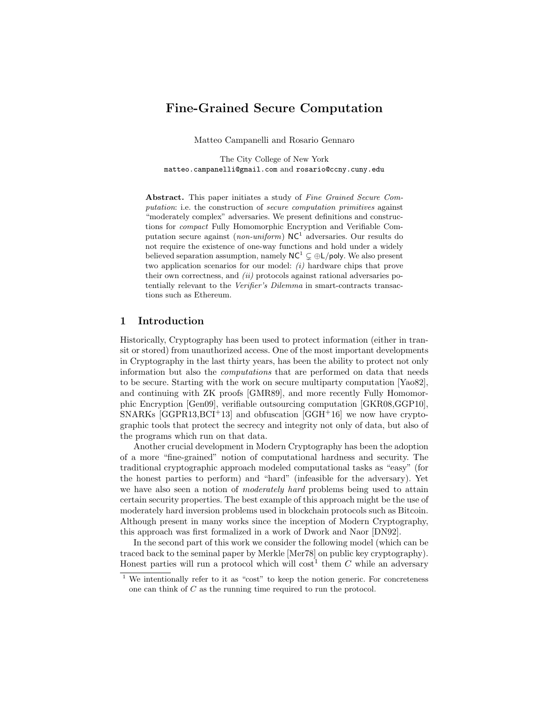# Fine-Grained Secure Computation

Matteo Campanelli and Rosario Gennaro

The City College of New York matteo.campanelli@gmail.com and rosario@ccny.cuny.edu

Abstract. This paper initiates a study of Fine Grained Secure Computation: i.e. the construction of secure computation primitives against "moderately complex" adversaries. We present definitions and constructions for compact Fully Homomorphic Encryption and Verifiable Computation secure against (*non-uniform*)  $NC<sup>1</sup>$  adversaries. Our results do not require the existence of one-way functions and hold under a widely believed separation assumption, namely  $NC^1 \subsetneq \bigoplus L/p$ oly. We also present two application scenarios for our model: (i) hardware chips that prove their own correctness, and (ii) protocols against rational adversaries potentially relevant to the Verifier's Dilemma in smart-contracts transactions such as Ethereum.

### 1 Introduction

Historically, Cryptography has been used to protect information (either in transit or stored) from unauthorized access. One of the most important developments in Cryptography in the last thirty years, has been the ability to protect not only information but also the computations that are performed on data that needs to be secure. Starting with the work on secure multiparty computation [Yao82], and continuing with ZK proofs [GMR89], and more recently Fully Homomorphic Encryption [Gen09], verifiable outsourcing computation [GKR08,GGP10], SNARKs  $[GGPR13, BCI<sup>+</sup>13]$  and obfuscation  $[GGH<sup>+</sup>16]$  we now have cryptographic tools that protect the secrecy and integrity not only of data, but also of the programs which run on that data.

Another crucial development in Modern Cryptography has been the adoption of a more "fine-grained" notion of computational hardness and security. The traditional cryptographic approach modeled computational tasks as "easy" (for the honest parties to perform) and "hard" (infeasible for the adversary). Yet we have also seen a notion of *moderately hard* problems being used to attain certain security properties. The best example of this approach might be the use of moderately hard inversion problems used in blockchain protocols such as Bitcoin. Although present in many works since the inception of Modern Cryptography, this approach was first formalized in a work of Dwork and Naor [DN92].

In the second part of this work we consider the following model (which can be traced back to the seminal paper by Merkle [Mer78] on public key cryptography). Honest parties will run a protocol which will cost<sup>1</sup> them  $C$  while an adversary

<sup>&</sup>lt;sup>1</sup> We intentionally refer to it as "cost" to keep the notion generic. For concreteness one can think of C as the running time required to run the protocol.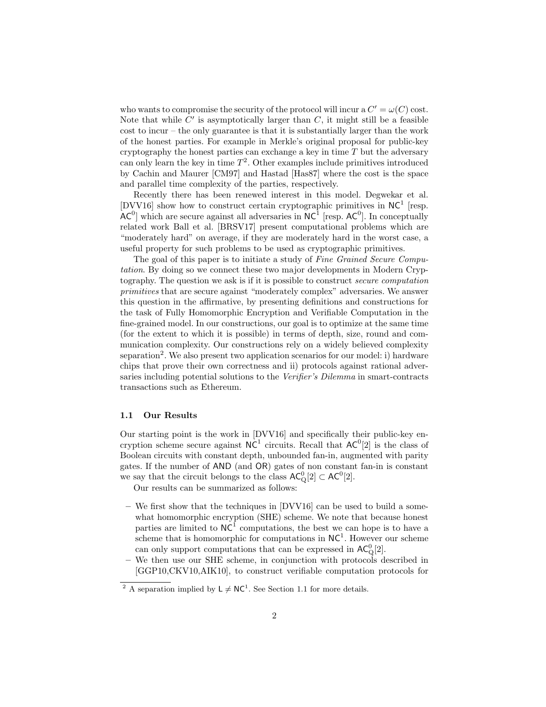who wants to compromise the security of the protocol will incur a  $C' = \omega(C)$  cost. Note that while  $C'$  is asymptotically larger than  $C$ , it might still be a feasible cost to incur – the only guarantee is that it is substantially larger than the work of the honest parties. For example in Merkle's original proposal for public-key cryptography the honest parties can exchange a key in time  $T$  but the adversary can only learn the key in time  $T^2$ . Other examples include primitives introduced by Cachin and Maurer [CM97] and Hastad [Has87] where the cost is the space and parallel time complexity of the parties, respectively.

Recently there has been renewed interest in this model. Degwekar et al. [DVV16] show how to construct certain cryptographic primitives in  $NC<sup>1</sup>$  [resp.  $AC^0$ ] which are secure against all adversaries in  $NC^1$  [resp.  $AC^0$ ]. In conceptually related work Ball et al. [BRSV17] present computational problems which are "moderately hard" on average, if they are moderately hard in the worst case, a useful property for such problems to be used as cryptographic primitives.

The goal of this paper is to initiate a study of Fine Grained Secure Computation. By doing so we connect these two major developments in Modern Cryptography. The question we ask is if it is possible to construct secure computation primitives that are secure against "moderately complex" adversaries. We answer this question in the affirmative, by presenting definitions and constructions for the task of Fully Homomorphic Encryption and Verifiable Computation in the fine-grained model. In our constructions, our goal is to optimize at the same time (for the extent to which it is possible) in terms of depth, size, round and communication complexity. Our constructions rely on a widely believed complexity separation<sup>2</sup>. We also present two application scenarios for our model: i) hardware chips that prove their own correctness and ii) protocols against rational adversaries including potential solutions to the Verifier's Dilemma in smart-contracts transactions such as Ethereum.

#### 1.1 Our Results

Our starting point is the work in [DVV16] and specifically their public-key encryption scheme secure against  $NC<sup>1</sup>$  circuits. Recall that  $AC<sup>0</sup>[2]$  is the class of Boolean circuits with constant depth, unbounded fan-in, augmented with parity gates. If the number of AND (and OR) gates of non constant fan-in is constant we say that the circuit belongs to the class  $\mathsf{AC}_Q^0[2] \subset \mathsf{AC}^0[2]$ .

Our results can be summarized as follows:

- We first show that the techniques in [DVV16] can be used to build a somewhat homomorphic encryption (SHE) scheme. We note that because honest parties are limited to  $NC^1$  computations, the best we can hope is to have a scheme that is homomorphic for computations in  $NC<sup>1</sup>$ . However our scheme can only support computations that can be expressed in  $AC_{Q}^{0}[2]$ .
- We then use our SHE scheme, in conjunction with protocols described in [GGP10,CKV10,AIK10], to construct verifiable computation protocols for

<sup>&</sup>lt;sup>2</sup> A separation implied by  $L \neq NC^1$ . See Section 1.1 for more details.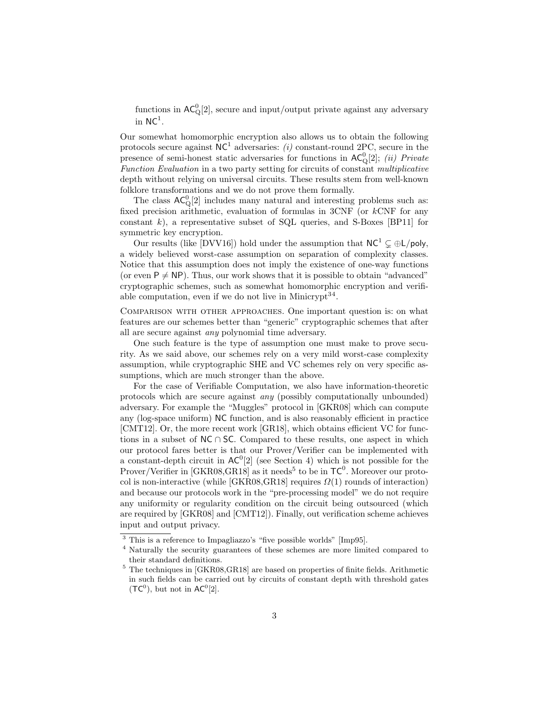functions in  $AC_{\mathbf{Q}}^{0}[2]$ , secure and input/output private against any adversary in  $\mathsf{NC}^1$ .

Our somewhat homomorphic encryption also allows us to obtain the following protocols secure against  $NC^1$  adversaries: (i) constant-round 2PC, secure in the presence of semi-honest static adversaries for functions in  $AC_{\mathbb{Q}}^0[2]$ ; *(ii) Private* Function Evaluation in a two party setting for circuits of constant multiplicative depth without relying on universal circuits. These results stem from well-known folklore transformations and we do not prove them formally.

The class  $AC_{Q}^{0}[2]$  includes many natural and interesting problems such as: fixed precision arithmetic, evaluation of formulas in 3CNF (or  $k$ CNF for any constant  $k$ ), a representative subset of SQL queries, and S-Boxes [BP11] for symmetric key encryption.

Our results (like [DVV16]) hold under the assumption that  $NC^1 \subseteq \bigoplus L/poly$ , a widely believed worst-case assumption on separation of complexity classes. Notice that this assumption does not imply the existence of one-way functions (or even  $P \neq NP$ ). Thus, our work shows that it is possible to obtain "advanced" cryptographic schemes, such as somewhat homomorphic encryption and verifiable computation, even if we do not live in Minicrypt<sup>34</sup>.

Comparison with other approaches. One important question is: on what features are our schemes better than "generic" cryptographic schemes that after all are secure against any polynomial time adversary.

One such feature is the type of assumption one must make to prove security. As we said above, our schemes rely on a very mild worst-case complexity assumption, while cryptographic SHE and VC schemes rely on very specific assumptions, which are much stronger than the above.

For the case of Verifiable Computation, we also have information-theoretic protocols which are secure against any (possibly computationally unbounded) adversary. For example the "Muggles" protocol in [GKR08] which can compute any (log-space uniform) NC function, and is also reasonably efficient in practice [CMT12]. Or, the more recent work [GR18], which obtains efficient VC for functions in a subset of  $NC \cap SC$ . Compared to these results, one aspect in which our protocol fares better is that our Prover/Verifier can be implemented with a constant-depth circuit in  $AC^0[2]$  (see Section 4) which is not possible for the Prover/Verifier in  $[\text{GKR08}, \text{GR18}]$  as it needs<sup>5</sup> to be in  $TC^0$ . Moreover our protocol is non-interactive (while  $[GKR08, GR18]$  requires  $\Omega(1)$  rounds of interaction) and because our protocols work in the "pre-processing model" we do not require any uniformity or regularity condition on the circuit being outsourced (which are required by [GKR08] and [CMT12]). Finally, out verification scheme achieves input and output privacy.

<sup>3</sup> This is a reference to Impagliazzo's "five possible worlds" [Imp95].

<sup>4</sup> Naturally the security guarantees of these schemes are more limited compared to their standard definitions.

<sup>5</sup> The techniques in [GKR08,GR18] are based on properties of finite fields. Arithmetic in such fields can be carried out by circuits of constant depth with threshold gates  $(TC^0)$ , but not in  $AC^0[2]$ .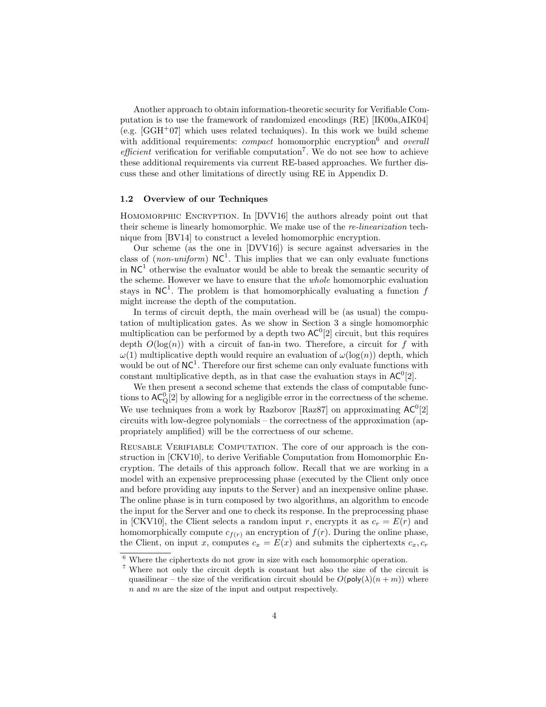Another approach to obtain information-theoretic security for Verifiable Computation is to use the framework of randomized encodings (RE) [IK00a,AIK04] (e.g.  $[GGH<sup>+</sup>07]$  which uses related techniques). In this work we build scheme with additional requirements: *compact* homomorphic encryption<sup>6</sup> and *overall efficient* verification for verifiable computation<sup>7</sup>. We do not see how to achieve these additional requirements via current RE-based approaches. We further discuss these and other limitations of directly using RE in Appendix D.

#### 1.2 Overview of our Techniques

HOMOMORPHIC ENCRYPTION. In [DVV16] the authors already point out that their scheme is linearly homomorphic. We make use of the re-linearization technique from [BV14] to construct a leveled homomorphic encryption.

Our scheme (as the one in [DVV16]) is secure against adversaries in the class of (non-uniform)  $NC^1$ . This implies that we can only evaluate functions in  $NC<sup>1</sup>$  otherwise the evaluator would be able to break the semantic security of the scheme. However we have to ensure that the whole homomorphic evaluation stays in  $NC^1$ . The problem is that homomorphically evaluating a function f might increase the depth of the computation.

In terms of circuit depth, the main overhead will be (as usual) the computation of multiplication gates. As we show in Section 3 a single homomorphic multiplication can be performed by a depth two  $AC^0[2]$  circuit, but this requires depth  $O(\log(n))$  with a circuit of fan-in two. Therefore, a circuit for f with  $\omega(1)$  multiplicative depth would require an evaluation of  $\omega(\log(n))$  depth, which would be out of  $NC^1$ . Therefore our first scheme can only evaluate functions with constant multiplicative depth, as in that case the evaluation stays in  $AC^0[2]$ .

We then present a second scheme that extends the class of computable functions to  $AC_{\mathbf{Q}}^{0}[2]$  by allowing for a negligible error in the correctness of the scheme. We use techniques from a work by Razborov [Raz87] on approximating  $AC^0[2]$ circuits with low-degree polynomials – the correctness of the approximation (appropriately amplified) will be the correctness of our scheme.

Reusable Verifiable Computation. The core of our approach is the construction in [CKV10], to derive Verifiable Computation from Homomorphic Encryption. The details of this approach follow. Recall that we are working in a model with an expensive preprocessing phase (executed by the Client only once and before providing any inputs to the Server) and an inexpensive online phase. The online phase is in turn composed by two algorithms, an algorithm to encode the input for the Server and one to check its response. In the preprocessing phase in [CKV10], the Client selects a random input r, encrypts it as  $c_r = E(r)$  and homomorphically compute  $c_{f(r)}$  an encryption of  $f(r)$ . During the online phase, the Client, on input x, computes  $c_x = E(x)$  and submits the ciphertexts  $c_x, c_r$ 

 $6$  Where the ciphertexts do not grow in size with each homomorphic operation.

<sup>7</sup> Where not only the circuit depth is constant but also the size of the circuit is quasilinear – the size of the verification circuit should be  $O(poly(\lambda)(n + m))$  where n and m are the size of the input and output respectively.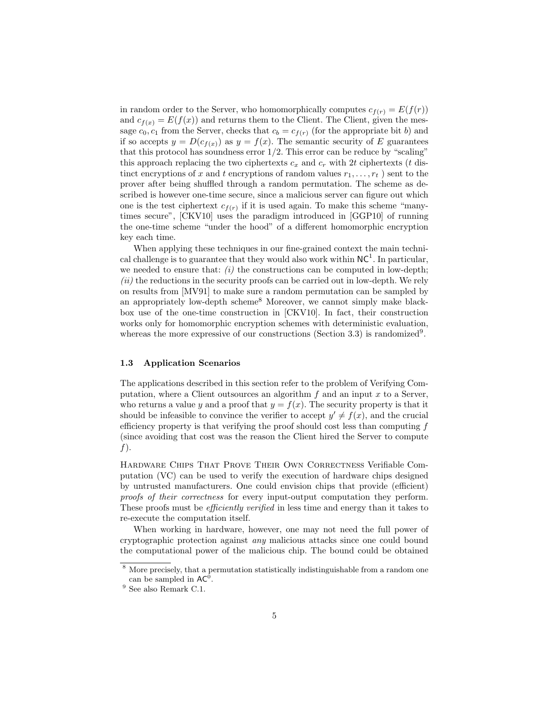in random order to the Server, who homomorphically computes  $c_{f(r)} = E(f(r))$ and  $c_{f(x)} = E(f(x))$  and returns them to the Client. The Client, given the message  $c_0, c_1$  from the Server, checks that  $c_b = c_{f(r)}$  (for the appropriate bit b) and if so accepts  $y = D(c_{f(x)})$  as  $y = f(x)$ . The semantic security of E guarantees that this protocol has soundness error  $1/2$ . This error can be reduce by "scaling" this approach replacing the two ciphertexts  $c_x$  and  $c_y$  with 2t ciphertexts (t distinct encryptions of x and t encryptions of random values  $r_1, \ldots, r_t$  ) sent to the prover after being shuffled through a random permutation. The scheme as described is however one-time secure, since a malicious server can figure out which one is the test ciphertext  $c_{f(r)}$  if it is used again. To make this scheme "manytimes secure", [CKV10] uses the paradigm introduced in [GGP10] of running the one-time scheme "under the hood" of a different homomorphic encryption key each time.

When applying these techniques in our fine-grained context the main technical challenge is to guarantee that they would also work within  $NC^1$ . In particular, we needed to ensure that:  $(i)$  the constructions can be computed in low-depth;  $(ii)$  the reductions in the security proofs can be carried out in low-depth. We rely on results from [MV91] to make sure a random permutation can be sampled by an appropriately low-depth scheme<sup>8</sup> Moreover, we cannot simply make blackbox use of the one-time construction in [CKV10]. In fact, their construction works only for homomorphic encryption schemes with deterministic evaluation, whereas the more expressive of our constructions (Section 3.3) is randomized<sup>9</sup>.

### 1.3 Application Scenarios

The applications described in this section refer to the problem of Verifying Computation, where a Client outsources an algorithm  $f$  and an input  $x$  to a Server, who returns a value y and a proof that  $y = f(x)$ . The security property is that it should be infeasible to convince the verifier to accept  $y' \neq f(x)$ , and the crucial efficiency property is that verifying the proof should cost less than computing  $f$ (since avoiding that cost was the reason the Client hired the Server to compute  $f$ ).

Hardware Chips That Prove Their Own Correctness Verifiable Computation (VC) can be used to verify the execution of hardware chips designed by untrusted manufacturers. One could envision chips that provide (efficient) proofs of their correctness for every input-output computation they perform. These proofs must be *efficiently verified* in less time and energy than it takes to re-execute the computation itself.

When working in hardware, however, one may not need the full power of cryptographic protection against any malicious attacks since one could bound the computational power of the malicious chip. The bound could be obtained

<sup>8</sup> More precisely, that a permutation statistically indistinguishable from a random one can be sampled in  $AC^0$ .

 $^9$  See also Remark C.1.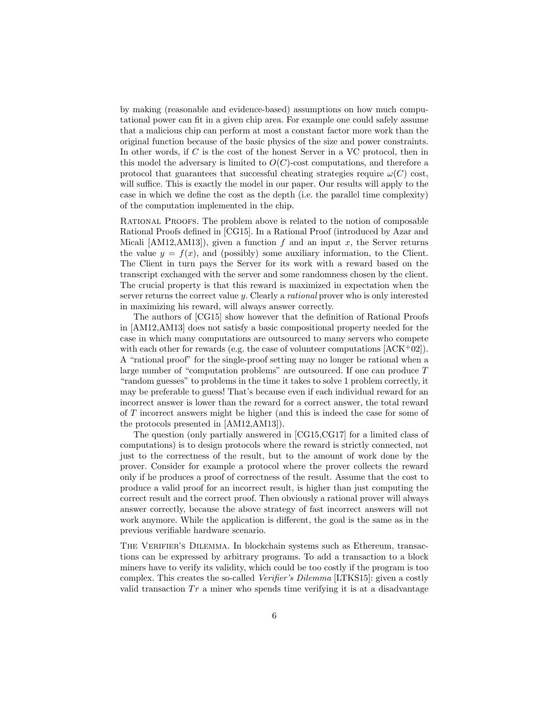by making (reasonable and evidence-based) assumptions on how much computational power can fit in a given chip area. For example one could safely assume that a malicious chip can perform at most a constant factor more work than the original function because of the basic physics of the size and power constraints. In other words, if C is the cost of the honest Server in a VC protocol, then in this model the adversary is limited to  $O(C)$ -cost computations, and therefore a protocol that guarantees that successful cheating strategies require  $\omega(C)$  cost, will suffice. This is exactly the model in our paper. Our results will apply to the case in which we define the cost as the depth (i.e. the parallel time complexity) of the computation implemented in the chip.

RATIONAL PROOFS. The problem above is related to the notion of composable Rational Proofs defined in [CG15]. In a Rational Proof (introduced by Azar and Micali  $[AM12, AM13]$ , given a function f and an input x, the Server returns the value  $y = f(x)$ , and (possibly) some auxiliary information, to the Client. The Client in turn pays the Server for its work with a reward based on the transcript exchanged with the server and some randomness chosen by the client. The crucial property is that this reward is maximized in expectation when the server returns the correct value y. Clearly a rational prover who is only interested in maximizing his reward, will always answer correctly.

The authors of [CG15] show however that the definition of Rational Proofs in [AM12,AM13] does not satisfy a basic compositional property needed for the case in which many computations are outsourced to many servers who compete with each other for rewards (e.g. the case of volunteer computations  $[ACK^+02]$ ). A "rational proof" for the single-proof setting may no longer be rational when a large number of "computation problems" are outsourced. If one can produce T "random guesses" to problems in the time it takes to solve 1 problem correctly, it may be preferable to guess! That's because even if each individual reward for an incorrect answer is lower than the reward for a correct answer, the total reward of T incorrect answers might be higher (and this is indeed the case for some of the protocols presented in [AM12,AM13]).

The question (only partially answered in [CG15,CG17] for a limited class of computations) is to design protocols where the reward is strictly connected, not just to the correctness of the result, but to the amount of work done by the prover. Consider for example a protocol where the prover collects the reward only if he produces a proof of correctness of the result. Assume that the cost to produce a valid proof for an incorrect result, is higher than just computing the correct result and the correct proof. Then obviously a rational prover will always answer correctly, because the above strategy of fast incorrect answers will not work anymore. While the application is different, the goal is the same as in the previous verifiable hardware scenario.

The Verifier's Dilemma. In blockchain systems such as Ethereum, transactions can be expressed by arbitrary programs. To add a transaction to a block miners have to verify its validity, which could be too costly if the program is too complex. This creates the so-called Verifier's Dilemma [LTKS15]: given a costly valid transaction  $Tr$  a miner who spends time verifying it is at a disadvantage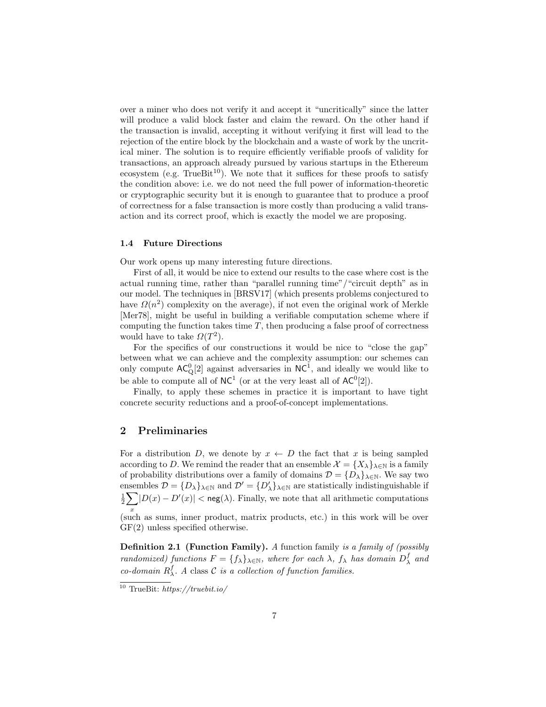over a miner who does not verify it and accept it "uncritically" since the latter will produce a valid block faster and claim the reward. On the other hand if the transaction is invalid, accepting it without verifying it first will lead to the rejection of the entire block by the blockchain and a waste of work by the uncritical miner. The solution is to require efficiently verifiable proofs of validity for transactions, an approach already pursued by various startups in the Ethereum ecosystem (e.g. TrueBit<sup>10</sup>). We note that it suffices for these proofs to satisfy the condition above: i.e. we do not need the full power of information-theoretic or cryptographic security but it is enough to guarantee that to produce a proof of correctness for a false transaction is more costly than producing a valid transaction and its correct proof, which is exactly the model we are proposing.

### 1.4 Future Directions

Our work opens up many interesting future directions.

First of all, it would be nice to extend our results to the case where cost is the actual running time, rather than "parallel running time"/"circuit depth" as in our model. The techniques in [BRSV17] (which presents problems conjectured to have  $\Omega(n^2)$  complexity on the average), if not even the original work of Merkle [Mer78], might be useful in building a verifiable computation scheme where if computing the function takes time  $T$ , then producing a false proof of correctness would have to take  $\Omega(T^2)$ .

For the specifics of our constructions it would be nice to "close the gap" between what we can achieve and the complexity assumption: our schemes can only compute  $AC_{\mathbf{Q}}^{0}[2]$  against adversaries in  $NC^{1}$ , and ideally we would like to be able to compute all of  $NC^1$  (or at the very least all of  $AC^0[2]$ ).

Finally, to apply these schemes in practice it is important to have tight concrete security reductions and a proof-of-concept implementations.

### 2 Preliminaries

For a distribution D, we denote by  $x \leftarrow D$  the fact that x is being sampled according to D. We remind the reader that an ensemble  $\mathcal{X} = \{X_{\lambda}\}_{\lambda \in \mathbb{N}}$  is a family of probability distributions over a family of domains  $\mathcal{D} = \{D_\lambda\}_{\lambda \in \mathbb{N}}.$  We say two ensembles  $\mathcal{D} = \{D_{\lambda}\}_{{\lambda \in \mathbb{N}}}$  and  $\mathcal{D}' = \{D'_{\lambda}\}_{{\lambda \in \mathbb{N}}}$  are statistically indistinguishable if  $\frac{1}{2} \sum |D(x) - D'(x)| <$  neg( $\lambda$ ). Finally, we note that all arithmetic computations x (such as sums, inner product, matrix products, etc.) in this work will be over GF(2) unless specified otherwise.

Definition 2.1 (Function Family). A function family is a family of (possibly randomized) functions  $F = \{f_\lambda\}_{\lambda \in \mathbb{N}}$ , where for each  $\lambda$ ,  $f_\lambda$  has domain  $D_\lambda^f$  and co-domain  $R^f_\lambda$ . A class C is a collection of function families.

 $\frac{10}{10}$  TrueBit: https://truebit.io/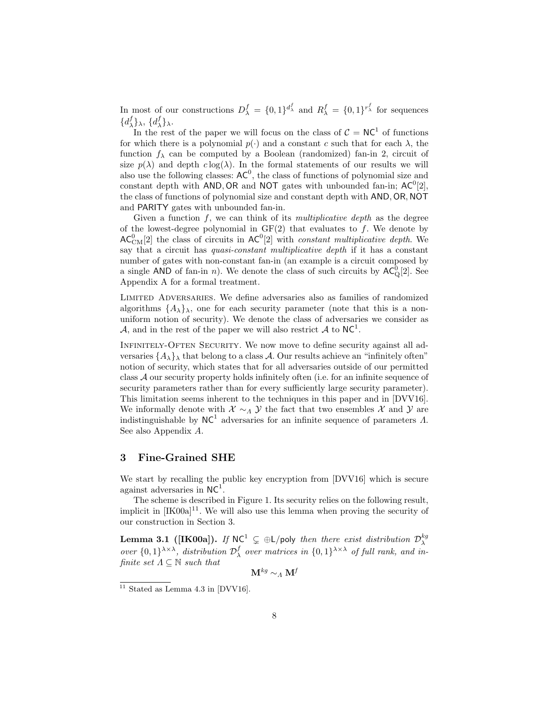In most of our constructions  $D_{\lambda}^{f} = \{0,1\}^{d_{\lambda}^{f}}$  and  $R_{\lambda}^{f} = \{0,1\}^{r_{\lambda}^{f}}$  for sequences  $\{d^f_\lambda\}_\lambda, \, \{d^f_\lambda\}_\lambda.$ 

In the rest of the paper we will focus on the class of  $C = NC<sup>1</sup>$  of functions for which there is a polynomial  $p(.)$  and a constant c such that for each  $\lambda$ , the function  $f_{\lambda}$  can be computed by a Boolean (randomized) fan-in 2, circuit of size  $p(\lambda)$  and depth  $c \log(\lambda)$ . In the formal statements of our results we will also use the following classes:  $AC^0$ , the class of functions of polynomial size and constant depth with AND, OR and NOT gates with unbounded fan-in;  $AC^0[2]$ , the class of functions of polynomial size and constant depth with AND, OR, NOT and PARITY gates with unbounded fan-in.

Given a function  $f$ , we can think of its *multiplicative depth* as the degree of the lowest-degree polynomial in  $GF(2)$  that evaluates to f. We denote by  $AC_{\text{CM}}^{0}[2]$  the class of circuits in  $AC^{0}[2]$  with *constant multiplicative depth*. We say that a circuit has quasi-constant multiplicative depth if it has a constant number of gates with non-constant fan-in (an example is a circuit composed by a single AND of fan-in *n*). We denote the class of such circuits by  $AC^0_Q[2]$ . See Appendix A for a formal treatment.

Limited Adversaries. We define adversaries also as families of randomized algorithms  $\{A_{\lambda}\}_{\lambda}$ , one for each security parameter (note that this is a nonuniform notion of security). We denote the class of adversaries we consider as A, and in the rest of the paper we will also restrict A to  $NC^1$ .

Infinitely-Often Security. We now move to define security against all adversaries  $\{A_{\lambda}\}\$  that belong to a class A. Our results achieve an "infinitely often" notion of security, which states that for all adversaries outside of our permitted class A our security property holds infinitely often (i.e. for an infinite sequence of security parameters rather than for every sufficiently large security parameter). This limitation seems inherent to the techniques in this paper and in [DVV16]. We informally denote with  $\mathcal{X} \sim_{\Lambda} \mathcal{Y}$  the fact that two ensembles  $\mathcal{X}$  and  $\mathcal{Y}$  are indistinguishable by  $NC^1$  adversaries for an infinite sequence of parameters  $\Lambda$ . See also Appendix A.

# 3 Fine-Grained SHE

We start by recalling the public key encryption from [DVV16] which is secure against adversaries in  $NC<sup>1</sup>$ .

The scheme is described in Figure 1. Its security relies on the following result, implicit in  $[IK00a]^{11}$ . We will also use this lemma when proving the security of our construction in Section 3.

**Lemma 3.1** ([IK00a]). If  $NC^1 \subsetneq \bigoplus L$ /poly then there exist distribution  $\mathcal{D}_{\lambda}^{kg}$ over  $\{0,1\}^{\lambda\times\lambda}$ , distribution  $\mathcal{D}_{\lambda}^f$  over matrices in  $\{0,1\}^{\lambda\times\lambda}$  of full rank, and infinite set  $\Lambda \subseteq \mathbb{N}$  such that

$$
\mathbf{M}^{kg}\sim_{A}\mathbf{M}^{f}
$$

 $11$  Stated as Lemma 4.3 in [DVV16].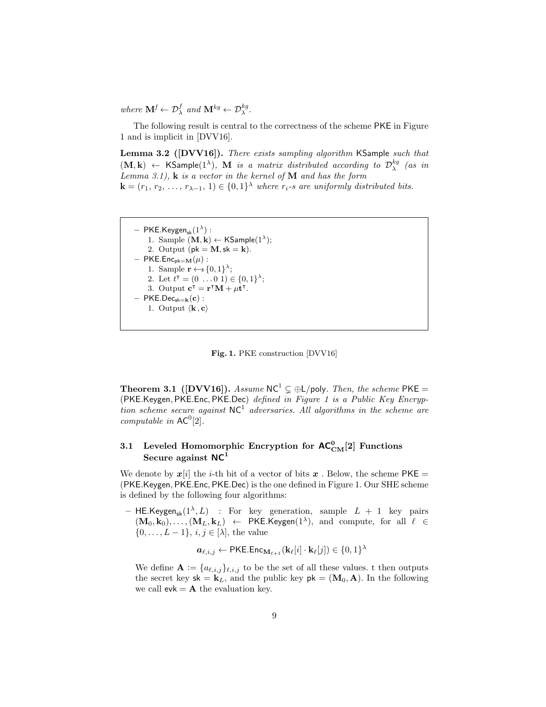where  $\mathbf{M}^f \leftarrow \mathcal{D}^f_{\lambda}$  and  $\mathbf{M}^{kg} \leftarrow \mathcal{D}^{kg}_{\lambda}$ .

The following result is central to the correctness of the scheme PKE in Figure 1 and is implicit in [DVV16].

Lemma 3.2 ([DVV16]). There exists sampling algorithm KSample such that  $(M, k) \leftarrow$  KSample(1<sup> $\lambda$ </sup>), M is a matrix distributed according to  $\mathcal{D}^{kg}_{\lambda}$  (as in Lemma 3.1),  $\bf{k}$  is a vector in the kernel of  $\bf{M}$  and has the form

 $\mathbf{k} = (r_1, r_2, \ldots, r_{\lambda-1}, 1) \in \{0, 1\}^{\lambda}$  where  $r_i$ -s are uniformly distributed bits.

```
- PKE.Keygen_{\rm sk}(1^{\lambda}) :
       1. Sample (M, k) \leftarrow KSample(1^{\lambda});
       2. Output (pk = M, sk = k).
– PKE.Enc<sub>pk=M</sub>(\mu) :
       1. Sample \mathbf{r} \leftarrow \{0,1\}^{\lambda};2. Let t^{\intercal} = (0 \dots 0 \ 1) \in \{0,1\}^{\lambda};3. Output \mathbf{c}^{\dagger} = \mathbf{r}^{\dagger} \mathbf{M} + \mu \mathbf{t}^{\dagger}.
- PKE.Dec<sub>sk=k</sub>(c):
       1. Output \langle \mathbf{k}, \mathbf{c} \rangle
```
Fig. 1. PKE construction [DVV16]

**Theorem 3.1 ([DVV16]).** Assume  $NC^1 \subseteq \bigoplus L$ /poly. Then, the scheme PKE = (PKE.Keygen, PKE.Enc, PKE.Dec) defined in Figure 1 is a Public Key Encryption scheme secure against  $NC^1$  adversaries. All algorithms in the scheme are computable in  $AC^0[2]$ .

# 3.1 Leveled Homomorphic Encryption for  $\mathsf{AC}^0_\mathrm{CM}[2]$  Functions Secure against  $NC<sup>1</sup>$

We denote by  $x[i]$  the *i*-th bit of a vector of bits x. Below, the scheme PKE = (PKE.Keygen, PKE.Enc, PKE.Dec) is the one defined in Figure 1. Our SHE scheme is defined by the following four algorithms:

- HE.Keygen<sub>sk</sub> $(1^{\lambda}, L)$  : For key generation, sample  $L + 1$  key pairs  $(M_0, k_0), \ldots, (M_L, k_L) \leftarrow \textsf{PKE.Keygen}(1^{\lambda}), \text{ and compute, for all } \ell \in$  $\{0, \ldots, L-1\}, i, j \in [\lambda],$  the value

$$
\pmb{a}_{\ell,i,j} \leftarrow \mathsf{PKE}.\mathsf{Enc}_{\mathbf{M}_{\ell+1}}(\mathbf{k}_{\ell}[i] \cdot \mathbf{k}_{\ell}[j]) \in \{0,1\}^{\lambda}
$$

We define  $\mathbf{A} := \{a_{\ell,i,j}\}_{\ell,i,j}$  to be the set of all these values. t then outputs the secret key  $sk = k_L$ , and the public key  $pk = (M_0, A)$ . In the following we call  $evk = A$  the evaluation key.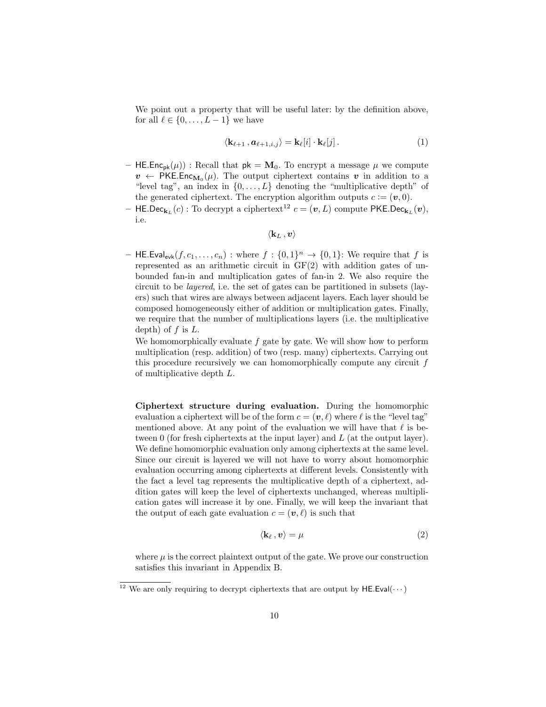We point out a property that will be useful later: by the definition above, for all  $\ell \in \{0, \ldots, L-1\}$  we have

$$
\langle \mathbf{k}_{\ell+1}, \mathbf{a}_{\ell+1,i,j} \rangle = \mathbf{k}_{\ell}[i] \cdot \mathbf{k}_{\ell}[j]. \tag{1}
$$

- HE.Enc<sub>pk</sub>( $\mu$ )) : Recall that  $pk = M_0$ . To encrypt a message  $\mu$  we compute  $v \leftarrow \mathsf{PKE}.\mathsf{Enc}_{\mathbf{M}_0}(\mu)$ . The output ciphertext contains  $v$  in addition to a "level tag", an index in  $\{0, \ldots, L\}$  denoting the "multiplicative depth" of the generated ciphertext. The encryption algorithm outputs  $c := (\boldsymbol{v}, 0)$ .
- HE.Dec $_{\mathbf{k}_L}(c)$ : To decrypt a ciphertext<sup>12</sup>  $c = (\boldsymbol{v}, L)$  compute PKE.Dec $_{\mathbf{k}_L}(\boldsymbol{v}),$ i.e.

$$
\langle \mathbf{k}_L\,, \bm{v}\rangle
$$

- HE.Eval<sub>evk</sub> $(f, c_1, \ldots, c_n)$ : where  $f: \{0,1\}^n \rightarrow \{0,1\}$ : We require that f is represented as an arithmetic circuit in GF(2) with addition gates of unbounded fan-in and multiplication gates of fan-in 2. We also require the circuit to be layered, i.e. the set of gates can be partitioned in subsets (layers) such that wires are always between adjacent layers. Each layer should be composed homogeneously either of addition or multiplication gates. Finally, we require that the number of multiplications layers (i.e. the multiplicative depth) of  $f$  is  $L$ .

We homomorphically evaluate  $f$  gate by gate. We will show how to perform multiplication (resp. addition) of two (resp. many) ciphertexts. Carrying out this procedure recursively we can homomorphically compute any circuit f of multiplicative depth L.

Ciphertext structure during evaluation. During the homomorphic evaluation a ciphertext will be of the form  $c = (\mathbf{v}, \ell)$  where  $\ell$  is the "level tag" mentioned above. At any point of the evaluation we will have that  $\ell$  is between 0 (for fresh ciphertexts at the input layer) and  $L$  (at the output layer). We define homomorphic evaluation only among ciphertexts at the same level. Since our circuit is layered we will not have to worry about homomorphic evaluation occurring among ciphertexts at different levels. Consistently with the fact a level tag represents the multiplicative depth of a ciphertext, addition gates will keep the level of ciphertexts unchanged, whereas multiplication gates will increase it by one. Finally, we will keep the invariant that the output of each gate evaluation  $c = (v, \ell)$  is such that

$$
\langle \mathbf{k}_{\ell} \, , \mathbf{v} \rangle = \mu \tag{2}
$$

where  $\mu$  is the correct plaintext output of the gate. We prove our construction satisfies this invariant in Appendix B.

<sup>&</sup>lt;sup>12</sup> We are only requiring to decrypt ciphertexts that are output by HE.Eval( $\cdots$ )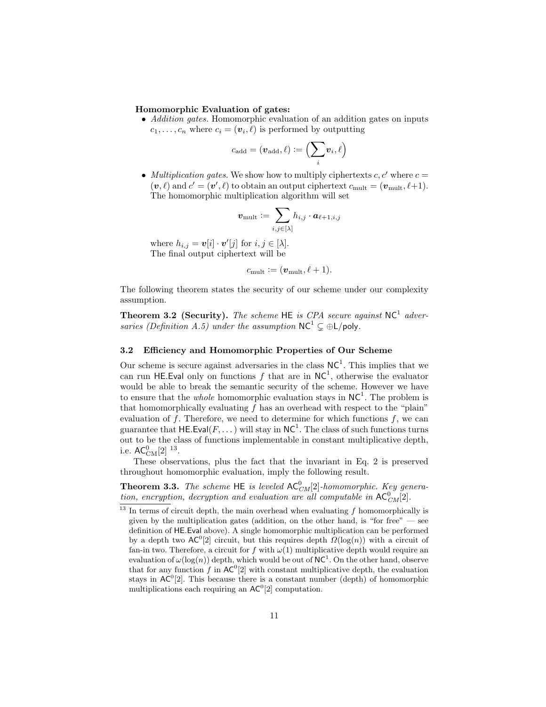### Homomorphic Evaluation of gates:

• Addition gates. Homomorphic evaluation of an addition gates on inputs  $c_1, \ldots, c_n$  where  $c_i = (\mathbf{v}_i, \ell)$  is performed by outputting

$$
c_{\mathrm{add}} = (\boldsymbol{v}_{\mathrm{add}}, \ell) \vcentcolon= \Bigl(\sum_i \boldsymbol{v}_i, \ell \Bigr)
$$

• Multiplication gates. We show how to multiply ciphertexts  $c, c'$  where  $c =$  $(v, \ell)$  and  $c' = (v', \ell)$  to obtain an output ciphertext  $c_{\text{mult}} = (v_{\text{mult}}, \ell+1)$ . The homomorphic multiplication algorithm will set

$$
\bm{v}_{\text{mult}} \coloneqq \sum_{i, j \in [\lambda]} h_{i, j} \cdot \bm{a}_{\ell+1, i, j}
$$

where  $h_{i,j} = \boldsymbol{v}[i] \cdot \boldsymbol{v}'[j]$  for  $i, j \in [\lambda]$ . The final output ciphertext will be

$$
c_{\text{mult}} := (\mathbf{v}_{\text{mult}}, \ell + 1).
$$

The following theorem states the security of our scheme under our complexity assumption.

**Theorem 3.2 (Security).** The scheme HE is CPA secure against  $NC^1$  adversaries (Definition A.5) under the assumption  $NC^1 \subsetneq \bigoplus L/poly$ .

#### 3.2 Efficiency and Homomorphic Properties of Our Scheme

Our scheme is secure against adversaries in the class  $NC<sup>1</sup>$ . This implies that we can run HE. Eval only on functions f that are in  $NC<sup>1</sup>$ , otherwise the evaluator would be able to break the semantic security of the scheme. However we have to ensure that the *whole* homomorphic evaluation stays in  $NC^1$ . The problem is that homomorphically evaluating  $f$  has an overhead with respect to the "plain" evaluation of  $f$ . Therefore, we need to determine for which functions  $f$ , we can guarantee that  $\mathsf{HE}.\mathsf{Eval}(F, \dots)$  will stay in  $\mathsf{NC}^1$ . The class of such functions turns out to be the class of functions implementable in constant multiplicative depth, i.e.  $\mathsf{AC}^0_{\mathrm{CM}}[2]^{13}$ .

These observations, plus the fact that the invariant in Eq. 2 is preserved throughout homomorphic evaluation, imply the following result.

**Theorem 3.3.** The scheme HE is leveled  $AC_{CM}^{0}[2]$ -homomorphic. Key generation, encryption, decryption and evaluation are all computable in  $AC_{CM}^{0}[2]$ .

 $\frac{13}{13}$  In terms of circuit depth, the main overhead when evaluating f homomorphically is given by the multiplication gates (addition, on the other hand, is "for free"  $-$  see definition of HE.Eval above). A single homomorphic multiplication can be performed by a depth two  $AC^0[2]$  circuit, but this requires depth  $\Omega(\log(n))$  with a circuit of fan-in two. Therefore, a circuit for f with  $\omega(1)$  multiplicative depth would require an evaluation of  $\omega(\log(n))$  depth, which would be out of NC<sup>1</sup>. On the other hand, observe that for any function f in  $AC^0[2]$  with constant multiplicative depth, the evaluation stays in  $AC^0[2]$ . This because there is a constant number (depth) of homomorphic multiplications each requiring an  $AC<sup>0</sup>[2]$  computation.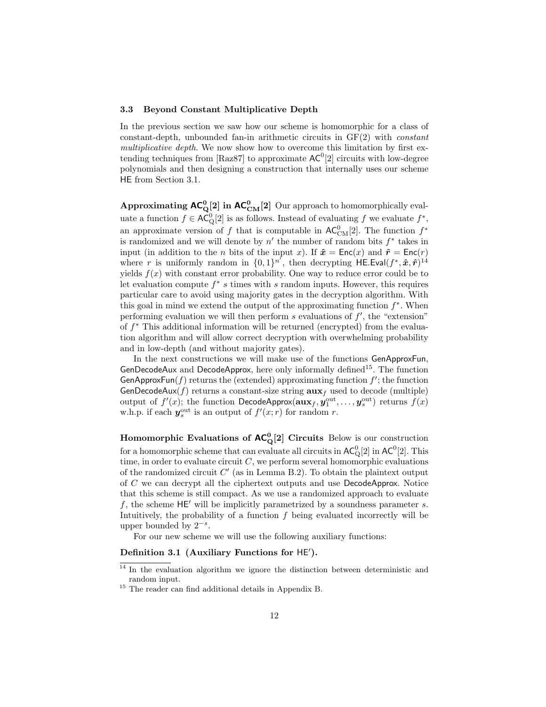#### 3.3 Beyond Constant Multiplicative Depth

In the previous section we saw how our scheme is homomorphic for a class of constant-depth, unbounded fan-in arithmetic circuits in GF(2) with constant multiplicative depth. We now show how to overcome this limitation by first extending techniques from [Raz87] to approximate  $AC^0[2]$  circuits with low-degree polynomials and then designing a construction that internally uses our scheme HE from Section 3.1.

Approximating  $AC_Q^0[2]$  in  $AC_{CM}^0[2]$  Our approach to homomorphically evaluate a function  $f \in AC^0_Q[2]$  is as follows. Instead of evaluating f we evaluate  $f^*$ , an approximate version of f that is computable in  $AC^0_{CM}[2]$ . The function  $f^*$ is randomized and we will denote by  $n'$  the number of random bits  $f^*$  takes in input (in addition to the *n* bits of the input x). If  $\hat{x} = \text{Enc}(x)$  and  $\hat{r} = \text{Enc}(r)$ where r is uniformly random in  $\{0,1\}^{n'}$ , then decrypting  $H\mathsf{E}.\mathsf{Eval}(f^*, \hat{\boldsymbol{x}}, \hat{\boldsymbol{r}})^{14}$ yields  $f(x)$  with constant error probability. One way to reduce error could be to let evaluation compute  $f^*$  s times with s random inputs. However, this requires particular care to avoid using majority gates in the decryption algorithm. With this goal in mind we extend the output of the approximating function  $f^*$ . When performing evaluation we will then perform  $s$  evaluations of  $f'$ , the "extension" of f <sup>∗</sup> This additional information will be returned (encrypted) from the evaluation algorithm and will allow correct decryption with overwhelming probability and in low-depth (and without majority gates).

In the next constructions we will make use of the functions GenApproxFun, GenDecodeAux and DecodeApprox, here only informally defined<sup>15</sup>. The function GenApproxFun(f) returns the (extended) approximating function  $f'$ ; the function GenDecodeAux( $f$ ) returns a constant-size string  $\mathbf{aux}_f$  used to decode (multiple) output of  $f'(x)$ ; the function DecodeApprox( $\mathbf{aux}_f, \mathbf{y}_1^{\text{out}}, \dots, \mathbf{y}_s^{\text{out}}$ ) returns  $f(x)$ w.h.p. if each  $y_s^{\text{out}}$  is an output of  $f'(x; r)$  for random r.

Homomorphic Evaluations of  $AC_{Q}^{0}[2]$  Circuits Below is our construction for a homomorphic scheme that can evaluate all circuits in  $\mathsf{AC}^0_\mathbb{Q}[2]$  in  $\mathsf{AC}^0[2]$ . This time, in order to evaluate circuit  $C$ , we perform several homomorphic evaluations of the randomized circuit  $C'$  (as in Lemma B.2). To obtain the plaintext output of C we can decrypt all the ciphertext outputs and use DecodeApprox. Notice that this scheme is still compact. As we use a randomized approach to evaluate f, the scheme  $HE'$  will be implicitly parametrized by a soundness parameter s. Intuitively, the probability of a function  $f$  being evaluated incorrectly will be upper bounded by  $2^{-s}$ .

For our new scheme we will use the following auxiliary functions:

# Definition 3.1 (Auxiliary Functions for HE').

<sup>&</sup>lt;sup>14</sup> In the evaluation algorithm we ignore the distinction between deterministic and random input.

<sup>&</sup>lt;sup>15</sup> The reader can find additional details in Appendix B.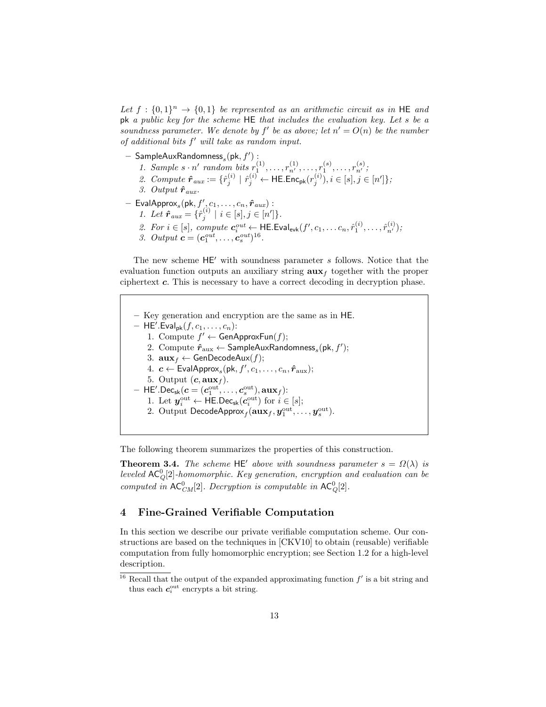Let  $f: \{0,1\}^n \rightarrow \{0,1\}$  be represented as an arithmetic circuit as in HE and pk a public key for the scheme HE that includes the evaluation key. Let s be a soundness parameter. We denote by  $f'$  be as above; let  $n' = O(n)$  be the number of additional bits  $f'$  will take as random input.

- $-$  SampleAuxRandomness $_s(\mathsf{pk}, f')$  :
	- 1. Sample  $s \cdot n'$  random bits  $r_1^{(1)}, \ldots, r_{n'}^{(1)}, \ldots, r_1^{(s)}, \ldots, r_{n'}^{(s)}$
	- 2. Compute  $\hat{r}_{aux} := \{ \hat{r}_j^{(i)} \mid \hat{r}_j^{(i)} \leftarrow \textsf{HE}.\textsf{Enc}_{\textsf{pk}}(r_j^{(i)}), i \in [s], j \in [n'] \};$
	- 3. Output  $\hat{r}_{aux}$ .
- $-$  EvalApprox<sub>s</sub> $(\mathsf{pk}, f', c_1, \ldots, c_n, \hat{r}_{aux})$ : 1. Let  $\hat{r}_{aux} = {\hat{r}_j^{(i)} \mid i \in [s], j \in [n']}.$ 
	- 2. For  $i \in [s]$ , compute  $c_i^{out} \leftarrow \textsf{HE}$ . Eval<sub>evk</sub> $(f', c_1, \ldots c_n, \hat{r}_1^{(i)}, \ldots, \hat{r}_{n'}^{(i)})$ ;
	- 3. Output  $c = (c_1^{out}, \ldots, c_s^{out})^{16}$ .

The new scheme  $HE'$  with soundness parameter s follows. Notice that the evaluation function outputs an auxiliary string  $\mathbf{aux}_f$  together with the proper ciphertext  $c$ . This is necessary to have a correct decoding in decryption phase.

– Key generation and encryption are the same as in HE.  $-$  HE'. Eval<sub>pk</sub> $(f, c_1, \ldots, c_n)$ : 1. Compute  $f' \leftarrow$  GenApproxFun(f); 2. Compute  $\hat{\mathbf{r}}_{\text{aux}} \leftarrow \mathsf{SampleAux}$ Randomness $_s(\mathsf{pk}, f');$ 3.  $\mathbf{aux}_f \leftarrow \mathsf{GenDecodeAux}(f);$ 4.  $\boldsymbol{c} \leftarrow \mathsf{EvalApprox}_s(\mathsf{pk}, f', c_1, \dots, c_n, \hat{\boldsymbol{r}}_{\text{aux}});$ 5. Output  $(c, \mathbf{aux}_f)$ .  $-$  HE'.Dec $_{\mathsf{sk}}(\boldsymbol{c}=(\boldsymbol{c}_1^{\text{out}},\dots,\boldsymbol{c}_s^{\text{out}}),\mathbf{aux}_f)$ : 1. Let  $y_i^{\text{out}} \leftarrow \text{HE.Dec}_{\text{sk}}(c_i^{\text{out}})$  for  $i \in [s]$ ; 2. Output DecodeApprox $_f(\mathbf{aux}_f, \bm{y}_1^{\text{out}}, \dots, \bm{y}_s^{\text{out}}).$ 

The following theorem summarizes the properties of this construction.

**Theorem 3.4.** The scheme HE' above with soundness parameter  $s = \Omega(\lambda)$  is leveled  $AC_Q^0[2]$ -homomorphic. Key generation, encryption and evaluation can be computed in  $AC^0_{CM}[2]$ . Decryption is computable in  $AC^0_{Q}[2]$ .

# 4 Fine-Grained Verifiable Computation

In this section we describe our private verifiable computation scheme. Our constructions are based on the techniques in [CKV10] to obtain (reusable) verifiable computation from fully homomorphic encryption; see Section 1.2 for a high-level description.

<sup>&</sup>lt;sup>16</sup> Recall that the output of the expanded approximating function  $f'$  is a bit string and thus each  $c_i^{\text{out}}$  encrypts a bit string.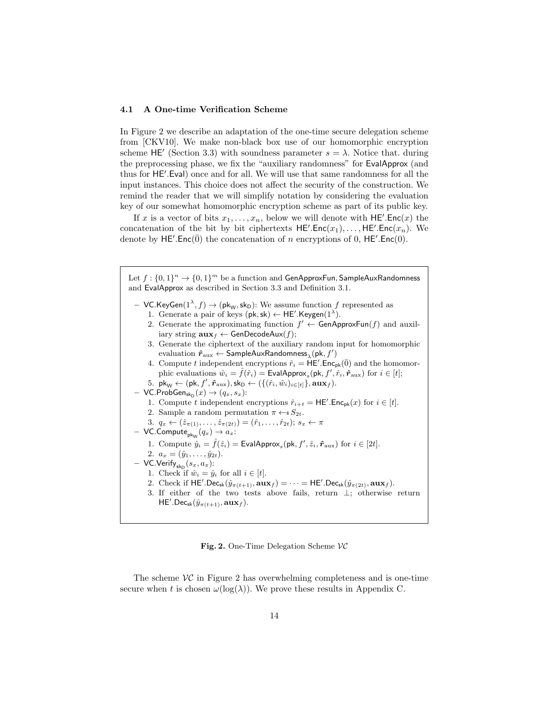### 4.1 A One-time Verification Scheme

In Figure 2 we describe an adaptation of the one-time secure delegation scheme from [CKV10]. We make non-black box use of our homomorphic encryption scheme HE' (Section 3.3) with soundness parameter  $s = \lambda$ . Notice that. during the preprocessing phase, we fix the "auxiliary randomness" for EvalApprox (and thus for HE'.Eval) once and for all. We will use that same randomness for all the input instances. This choice does not affect the security of the construction. We remind the reader that we will simplify notation by considering the evaluation key of our somewhat homomorphic encryption scheme as part of its public key.

If x is a vector of bits  $x_1, \ldots, x_n$ , below we will denote with  $\mathsf{HE}'.\mathsf{Enc}(x)$  the concatenation of the bit by bit ciphertexts  $HE'.Enc(x_1), \ldots, HE'.Enc(x_n)$ . We denote by HE'.Enc $(\bar{0})$  the concatenation of n encryptions of 0, HE'.Enc $(0)$ .

Let  $f: \{0,1\}^n \to \{0,1\}^m$  be a function and GenApproxFun, SampleAuxRandomness and EvalApprox as described in Section 3.3 and Definition 3.1. - VC.KeyGen $(1^{\lambda}, f) \rightarrow (\mathsf{pk}_\mathsf{W}, \mathsf{sk}_\mathsf{D})$ : We assume function  $f$  represented as 1. Generate a pair of keys  $(\mathsf{pk}, \mathsf{sk}) \leftarrow \mathsf{HE}'.\mathsf{Keygen}(1^{\lambda}).$ 

- 2. Generate the approximating function  $f' \leftarrow$  GenApproxFun(f) and auxiliary string  $\mathbf{aux}_f \leftarrow \mathsf{GenDecodeAux}(f);$
- 3. Generate the ciphertext of the auxiliary random input for homomorphic evaluation  $\hat{\bm{r}}_{\text{aux}} \leftarrow \mathsf{SampleAux}$ Randomness ${}_\lambda(\mathsf{pk}, f')$
- 4. Compute t independent encryptions  $\hat{r}_i = \overline{\mathsf{HE}}'$ . Enc<sub>pk</sub>( $\overline{0}$ ) and the homomorphic evaluations  $\hat{w}_i = \hat{f}(\hat{r}_i) = \textsf{EvalApprox}_s(\textsf{pk}, f', \hat{r}_i, \hat{r}_{\text{aux}})$  for  $i \in [t]$ ;
- 5.  $\mathsf{pk}_{\mathsf{W}} \leftarrow (\mathsf{pk}, f', \hat{r}_{\text{aux}}), \mathsf{sk}_{\mathsf{D}} \leftarrow (\{(\hat{r}_i, \hat{w}_i)_{i \in [t]}\}, \mathsf{aux}_f).$
- $-$  VC.ProbGen<sub>sk<sub>D</sub> $(x) \rightarrow (q_x, s_x)$ :</sub>
	- 1. Compute t independent encryptions  $\hat{r}_{i+t} = \mathsf{HE}'$ . Enc<sub>pk</sub> $(x)$  for  $i \in [t]$ . 2. Sample a random permutation  $\pi \leftarrow s S_{2t}$ .
	- 3.  $q_x \leftarrow (\hat{z}_{\pi(1)}, \ldots, \hat{z}_{\pi(2t)}) = (\hat{r}_1, \ldots, \hat{r}_{2t}); s_x \leftarrow \pi$
- $-$  VC.Compute $_{\mathsf{pk}_\mathsf{W}}(q_x) \to a_x$ :
	- 1. Compute  $\hat{y}_i = \hat{f}(\hat{z}_i) = \text{EvalApprox}_s(\text{pk}, f', \hat{z}_i, \hat{r}_{\text{aux}})$  for  $i \in [2t]$ .
	- 2.  $a_x = (\hat{y}_1, \ldots, \hat{y}_{2t}).$
- $-$  VC.Verify $_{\mathsf{sk}_{\mathsf{D}}}(s_x, a_x)$ :
	- 1. Check if  $\hat{w}_i = \hat{y}_i$  for all  $i \in [t]$ .
	- 2. Check if  $\mathsf{HE}'$ .Dec<sub>sk</sub> $(\hat{y}_{\pi(t+1)}, \mathbf{aux}_f) = \cdots = \mathsf{HE}'$ .Dec<sub>sk</sub> $(\hat{y}_{\pi(2t)}, \mathbf{aux}_f)$ .
	- 3. If either of the two tests above fails, return ⊥; otherwise return  $\mathsf{HE}'.\mathsf{Dec}_{\mathsf{sk}}(\hat{y}_{\pi(t+1)}, \mathbf{aux}_f).$

Fig. 2. One-Time Delegation Scheme  $VC$ 

The scheme  $\mathcal{VC}$  in Figure 2 has overwhelming completeness and is one-time secure when t is chosen  $\omega(\log(\lambda))$ . We prove these results in Appendix C.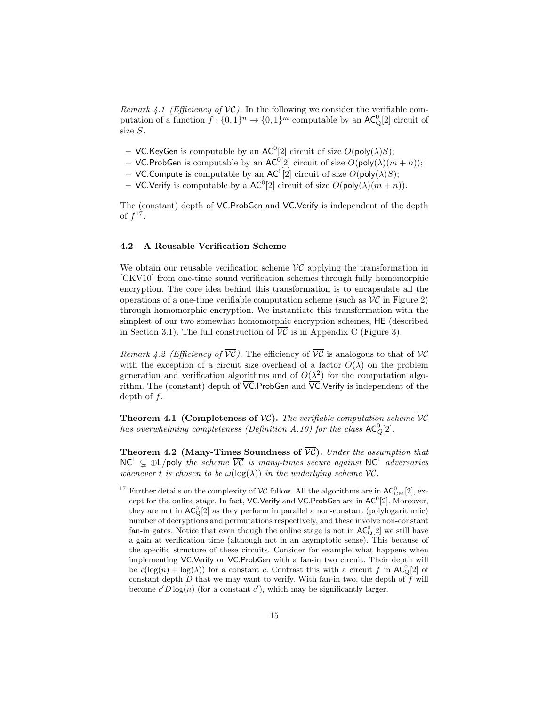Remark 4.1 (Efficiency of  $VC$ ). In the following we consider the verifiable computation of a function  $f: \{0,1\}^n \to \{0,1\}^m$  computable by an  $AC^0_Q[2]$  circuit of size S.

- VC. Key Gen is computable by an  $AC^0[2]$  circuit of size  $O(poly(\lambda)S)$ ;
- VC.ProbGen is computable by an  $AC^0[2]$  circuit of size  $O(\text{poly}(\lambda)(m+n));$
- VC. Compute is computable by an  $AC^0[2]$  circuit of size  $O(poly(\lambda)S)$ ;
- VC.Verify is computable by a  $AC^0[2]$  circuit of size  $O(poly(\lambda)(m+n))$ .

The (constant) depth of VC.ProbGen and VC.Verify is independent of the depth of  $f^{17}$ .

### 4.2 A Reusable Verification Scheme

We obtain our reusable verification scheme  $\overline{VC}$  applying the transformation in [CKV10] from one-time sound verification schemes through fully homomorphic encryption. The core idea behind this transformation is to encapsulate all the operations of a one-time verifiable computation scheme (such as  $\mathcal{VC}$  in Figure 2) through homomorphic encryption. We instantiate this transformation with the simplest of our two somewhat homomorphic encryption schemes, HE (described in Section 3.1). The full construction of  $\overline{VC}$  is in Appendix C (Figure 3).

Remark 4.2 (Efficiency of  $\overline{VC}$ ). The efficiency of  $\overline{VC}$  is analogous to that of  $VC$ with the exception of a circuit size overhead of a factor  $O(\lambda)$  on the problem generation and verification algorithms and of  $O(\lambda^2)$  for the computation algorithm. The (constant) depth of  $\overline{VC}$ . ProbGen and  $\overline{VC}$ . Verify is independent of the depth of  $f$ .

**Theorem 4.1 (Completeness of**  $\overline{VC}$ **).** The verifiable computation scheme  $\overline{VC}$ has overwhelming completeness (Definition A.10) for the class  $AC_Q^0[2]$ .

**Theorem 4.2 (Many-Times Soundness of**  $\overline{VC}$ **).** Under the assumption that  $NC^1 \subsetneq \bigoplus L$ /poly the scheme  $\overline{VC}$  is many-times secure against  $NC^1$  adversaries whenever t is chosen to be  $\omega(\log(\lambda))$  in the underlying scheme  $\mathcal{VC}$ .

<sup>&</sup>lt;sup>17</sup> Further details on the complexity of  $VC$  follow. All the algorithms are in  $AC_{CM}^{0}[2]$ , except for the online stage. In fact, VC.Verify and VC.ProbGen are in  $AC^0[2]$ . Moreover, they are not in  $AC_{\mathbb{Q}}^0[2]$  as they perform in parallel a non-constant (polylogarithmic) number of decryptions and permutations respectively, and these involve non-constant fan-in gates. Notice that even though the online stage is not in  $AC_{\mathbb{Q}}^0[2]$  we still have a gain at verification time (although not in an asymptotic sense). This because of the specific structure of these circuits. Consider for example what happens when implementing VC.Verify or VC.ProbGen with a fan-in two circuit. Their depth will be  $c(\log(n) + \log(\lambda))$  for a constant c. Contrast this with a circuit f in AC<sub>Q</sub>[2] of constant depth  $D$  that we may want to verify. With fan-in two, the depth of  $f$  will become  $c'D \log(n)$  (for a constant  $c'$ ), which may be significantly larger.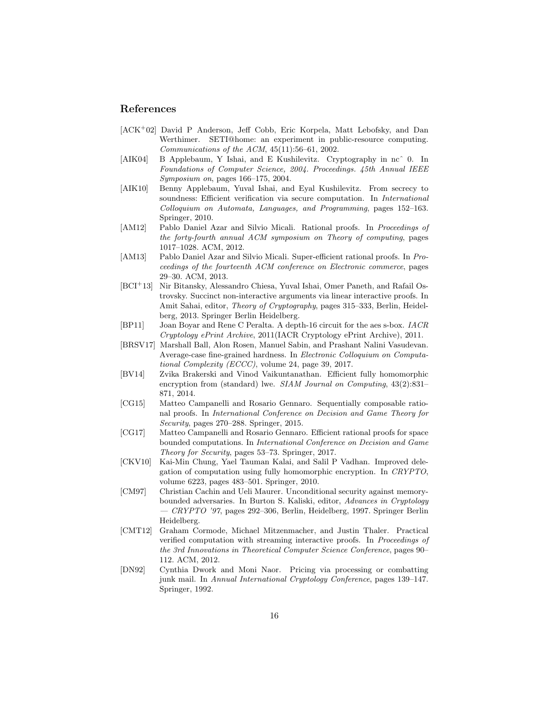### References

- [ACK<sup>+</sup>02] David P Anderson, Jeff Cobb, Eric Korpela, Matt Lebofsky, and Dan Werthimer. SETI@home: an experiment in public-resource computing. Communications of the ACM, 45(11):56–61, 2002.
- [AIK04] B Applebaum, Y Ishai, and E Kushilevitz. Cryptography in ncˆ 0. In Foundations of Computer Science, 2004. Proceedings. 45th Annual IEEE Symposium on, pages 166–175, 2004.
- [AIK10] Benny Applebaum, Yuval Ishai, and Eyal Kushilevitz. From secrecy to soundness: Efficient verification via secure computation. In *International* Colloquium on Automata, Languages, and Programming, pages 152–163. Springer, 2010.
- [AM12] Pablo Daniel Azar and Silvio Micali. Rational proofs. In Proceedings of the forty-fourth annual ACM symposium on Theory of computing, pages 1017–1028. ACM, 2012.
- [AM13] Pablo Daniel Azar and Silvio Micali. Super-efficient rational proofs. In Proceedings of the fourteenth ACM conference on Electronic commerce, pages 29–30. ACM, 2013.
- [BCI<sup>+</sup>13] Nir Bitansky, Alessandro Chiesa, Yuval Ishai, Omer Paneth, and Rafail Ostrovsky. Succinct non-interactive arguments via linear interactive proofs. In Amit Sahai, editor, *Theory of Cryptography*, pages 315–333, Berlin, Heidelberg, 2013. Springer Berlin Heidelberg.
- [BP11] Joan Boyar and Rene C Peralta. A depth-16 circuit for the aes s-box. IACR Cryptology ePrint Archive, 2011(IACR Cryptology ePrint Archive), 2011.
- [BRSV17] Marshall Ball, Alon Rosen, Manuel Sabin, and Prashant Nalini Vasudevan. Average-case fine-grained hardness. In Electronic Colloquium on Computational Complexity (ECCC), volume 24, page 39, 2017.
- [BV14] Zvika Brakerski and Vinod Vaikuntanathan. Efficient fully homomorphic encryption from (standard) lwe. SIAM Journal on Computing, 43(2):831-871, 2014.
- [CG15] Matteo Campanelli and Rosario Gennaro. Sequentially composable rational proofs. In International Conference on Decision and Game Theory for Security, pages 270–288. Springer, 2015.
- [CG17] Matteo Campanelli and Rosario Gennaro. Efficient rational proofs for space bounded computations. In International Conference on Decision and Game Theory for Security, pages 53–73. Springer, 2017.
- [CKV10] Kai-Min Chung, Yael Tauman Kalai, and Salil P Vadhan. Improved delegation of computation using fully homomorphic encryption. In CRYPTO, volume 6223, pages 483–501. Springer, 2010.
- [CM97] Christian Cachin and Ueli Maurer. Unconditional security against memorybounded adversaries. In Burton S. Kaliski, editor, Advances in Cryptology — CRYPTO '97, pages 292–306, Berlin, Heidelberg, 1997. Springer Berlin Heidelberg.
- [CMT12] Graham Cormode, Michael Mitzenmacher, and Justin Thaler. Practical verified computation with streaming interactive proofs. In Proceedings of the 3rd Innovations in Theoretical Computer Science Conference, pages 90– 112. ACM, 2012.
- [DN92] Cynthia Dwork and Moni Naor. Pricing via processing or combatting junk mail. In Annual International Cryptology Conference, pages 139–147. Springer, 1992.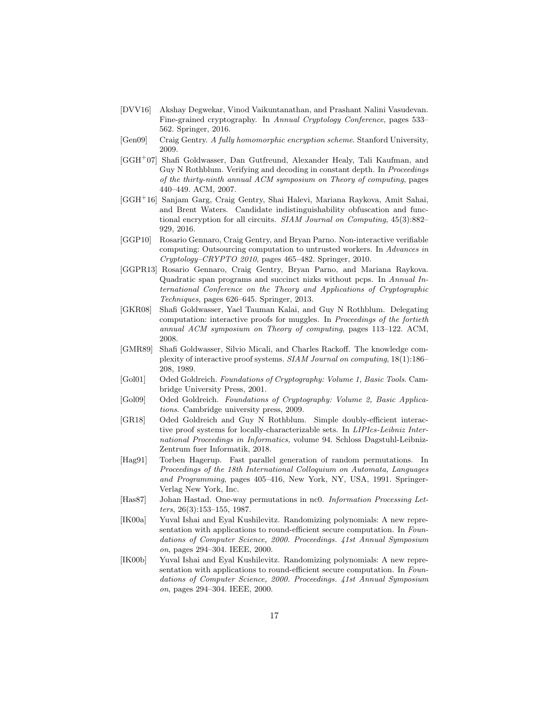- [DVV16] Akshay Degwekar, Vinod Vaikuntanathan, and Prashant Nalini Vasudevan. Fine-grained cryptography. In Annual Cryptology Conference, pages 533– 562. Springer, 2016.
- [Gen09] Craig Gentry. A fully homomorphic encryption scheme. Stanford University, 2009.
- [GGH<sup>+</sup>07] Shafi Goldwasser, Dan Gutfreund, Alexander Healy, Tali Kaufman, and Guy N Rothblum. Verifying and decoding in constant depth. In *Proceedings* of the thirty-ninth annual ACM symposium on Theory of computing, pages 440–449. ACM, 2007.
- [GGH<sup>+</sup>16] Sanjam Garg, Craig Gentry, Shai Halevi, Mariana Raykova, Amit Sahai, and Brent Waters. Candidate indistinguishability obfuscation and functional encryption for all circuits. SIAM Journal on Computing, 45(3):882– 929, 2016.
- [GGP10] Rosario Gennaro, Craig Gentry, and Bryan Parno. Non-interactive verifiable computing: Outsourcing computation to untrusted workers. In Advances in Cryptology–CRYPTO 2010, pages 465–482. Springer, 2010.
- [GGPR13] Rosario Gennaro, Craig Gentry, Bryan Parno, and Mariana Raykova. Quadratic span programs and succinct nizks without pcps. In Annual International Conference on the Theory and Applications of Cryptographic Techniques, pages 626–645. Springer, 2013.
- [GKR08] Shafi Goldwasser, Yael Tauman Kalai, and Guy N Rothblum. Delegating computation: interactive proofs for muggles. In Proceedings of the fortieth annual ACM symposium on Theory of computing, pages 113–122. ACM, 2008.
- [GMR89] Shafi Goldwasser, Silvio Micali, and Charles Rackoff. The knowledge complexity of interactive proof systems. SIAM Journal on computing, 18(1):186– 208, 1989.
- [Gol01] Oded Goldreich. Foundations of Cryptography: Volume 1, Basic Tools. Cambridge University Press, 2001.
- [Gol09] Oded Goldreich. Foundations of Cryptography: Volume 2, Basic Applications. Cambridge university press, 2009.
- [GR18] Oded Goldreich and Guy N Rothblum. Simple doubly-efficient interactive proof systems for locally-characterizable sets. In LIPIcs-Leibniz International Proceedings in Informatics, volume 94. Schloss Dagstuhl-Leibniz-Zentrum fuer Informatik, 2018.
- [Hag91] Torben Hagerup. Fast parallel generation of random permutations. In Proceedings of the 18th International Colloquium on Automata, Languages and Programming, pages 405–416, New York, NY, USA, 1991. Springer-Verlag New York, Inc.
- [Has87] Johan Hastad. One-way permutations in nc0. Information Processing Letters, 26(3):153–155, 1987.
- [IK00a] Yuval Ishai and Eyal Kushilevitz. Randomizing polynomials: A new representation with applications to round-efficient secure computation. In Foundations of Computer Science, 2000. Proceedings. 41st Annual Symposium on, pages 294–304. IEEE, 2000.
- [IK00b] Yuval Ishai and Eyal Kushilevitz. Randomizing polynomials: A new representation with applications to round-efficient secure computation. In Foundations of Computer Science, 2000. Proceedings. 41st Annual Symposium on, pages 294–304. IEEE, 2000.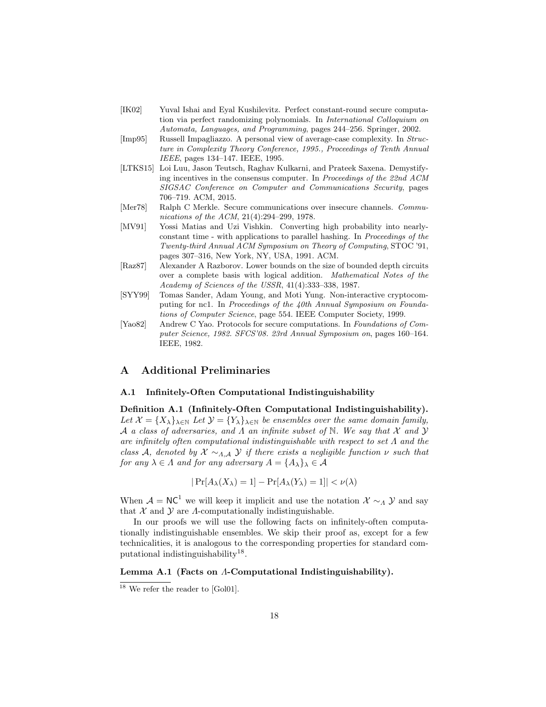- [IK02] Yuval Ishai and Eyal Kushilevitz. Perfect constant-round secure computation via perfect randomizing polynomials. In International Colloquium on Automata, Languages, and Programming, pages 244–256. Springer, 2002.
- [Imp95] Russell Impagliazzo. A personal view of average-case complexity. In Structure in Complexity Theory Conference, 1995., Proceedings of Tenth Annual IEEE, pages 134–147. IEEE, 1995.
- [LTKS15] Loi Luu, Jason Teutsch, Raghav Kulkarni, and Prateek Saxena. Demystifying incentives in the consensus computer. In Proceedings of the 22nd ACM SIGSAC Conference on Computer and Communications Security, pages 706–719. ACM, 2015.
- [Mer78] Ralph C Merkle. Secure communications over insecure channels. *Commu*nications of the ACM, 21(4):294–299, 1978.
- [MV91] Yossi Matias and Uzi Vishkin. Converting high probability into nearlyconstant time - with applications to parallel hashing. In Proceedings of the Twenty-third Annual ACM Symposium on Theory of Computing, STOC '91, pages 307–316, New York, NY, USA, 1991. ACM.
- [Raz87] Alexander A Razborov. Lower bounds on the size of bounded depth circuits over a complete basis with logical addition. Mathematical Notes of the Academy of Sciences of the USSR, 41(4):333–338, 1987.
- [SYY99] Tomas Sander, Adam Young, and Moti Yung. Non-interactive cryptocomputing for nc1. In Proceedings of the 40th Annual Symposium on Foundations of Computer Science, page 554. IEEE Computer Society, 1999.
- [Yao82] Andrew C Yao. Protocols for secure computations. In Foundations of Computer Science, 1982. SFCS'08. 23rd Annual Symposium on, pages 160–164. IEEE, 1982.

# A Additional Preliminaries

### A.1 Infinitely-Often Computational Indistinguishability

Definition A.1 (Infinitely-Often Computational Indistinguishability). Let  $\mathcal{X} = \{X_{\lambda}\}_{\lambda \in \mathbb{N}}$  Let  $\mathcal{Y} = \{Y_{\lambda}\}_{\lambda \in \mathbb{N}}$  be ensembles over the same domain family, A a class of adversaries, and  $\Lambda$  an infinite subset of  $\mathbb N$ . We say that  $\mathcal X$  and  $\mathcal Y$ are infinitely often computational indistinguishable with respect to set  $\Lambda$  and the class A, denoted by  $\mathcal{X} \sim_{A,\mathcal{A}} \mathcal{Y}$  if there exists a negligible function  $\nu$  such that for any  $\lambda \in \Lambda$  and for any adversary  $A = \{A_{\lambda}\}_\lambda \in \mathcal{A}$ 

$$
|\Pr[A_{\lambda}(X_{\lambda})=1]-\Pr[A_{\lambda}(Y_{\lambda})=1]|<\nu(\lambda)
$$

When  $A = NC<sup>1</sup>$  we will keep it implicit and use the notation  $\mathcal{X} \sim_A \mathcal{Y}$  and say that  $\mathcal X$  and  $\mathcal Y$  are  $\Lambda$ -computationally indistinguishable.

In our proofs we will use the following facts on infinitely-often computationally indistinguishable ensembles. We skip their proof as, except for a few technicalities, it is analogous to the corresponding properties for standard computational indistinguishability<sup>18</sup>.

#### Lemma A.1 (Facts on Λ-Computational Indistinguishability).

<sup>&</sup>lt;sup>18</sup> We refer the reader to [Gol01].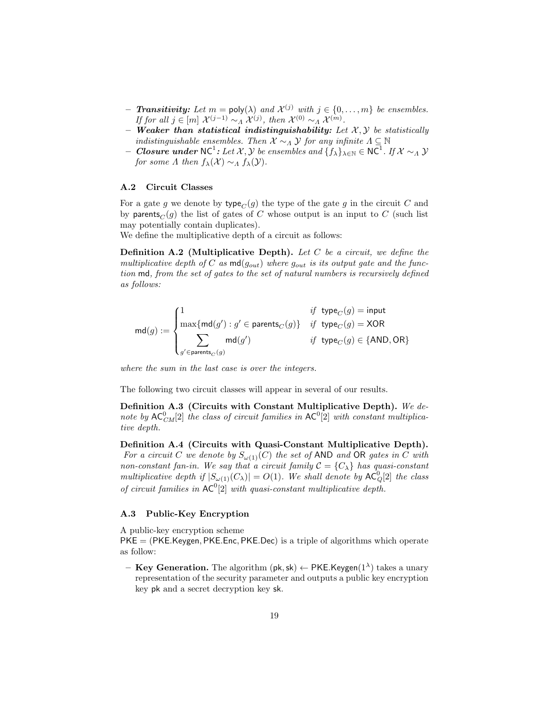- **Transitivity:** Let  $m = \text{poly}(\lambda)$  and  $\mathcal{X}^{(j)}$  with  $j \in \{0, ..., m\}$  be ensembles. If for all  $j \in [m]$   $\mathcal{X}^{(j-1)} \sim_{\Lambda} \mathcal{X}^{(j)}$ , then  $\mathcal{X}^{(0)} \sim_{\Lambda} \mathcal{X}^{(m)}$ .
- Weaker than statistical indistinguishability: Let  $X, Y$  be statistically indistinguishable ensembles. Then  $X \sim_A Y$  for any infinite  $\Lambda \subseteq \mathbb{N}$
- $\textit{--} \textit{Closure}$  under NC<sup>1</sup>: Let X, Y be ensembles and  $\{f_\lambda\}_{\lambda\in\mathbb{N}}\in\mathsf{NC}^1$ . If X  $\sim_\Lambda$  Y for some  $\Lambda$  then  $f_{\lambda}(\mathcal{X}) \sim_{\Lambda} f_{\lambda}(\mathcal{Y})$ .

### A.2 Circuit Classes

For a gate g we denote by type<sub> $C$ </sub> (g) the type of the gate g in the circuit C and by parents<sub>C</sub> $(g)$  the list of gates of C whose output is an input to C (such list may potentially contain duplicates).

We define the multiplicative depth of a circuit as follows:

**Definition A.2** (Multiplicative Depth). Let C be a circuit, we define the multiplicative depth of C as  $md(g_{out})$  where  $g_{out}$  is its output gate and the function md, from the set of gates to the set of natural numbers is recursively defined as follows:

$$
\mathsf{md}(g) := \begin{cases} 1 & \textit{if type}_{C}(g) = \mathsf{input} \\ \max\{\mathsf{md}(g'): g' \in \mathsf{parents}_{C}(g)\} & \textit{if type}_{C}(g) = \mathsf{XOR} \\ \sum_{g' \in \mathsf{parents}_{C}(g)} \mathsf{md}(g') & \textit{if type}_{C}(g) \in \{\mathsf{AND}, \mathsf{OR}\} \end{cases}
$$

where the sum in the last case is over the integers.

The following two circuit classes will appear in several of our results.

Definition A.3 (Circuits with Constant Multiplicative Depth). We denote by  $AC_{CM}^0[2]$  the class of circuit families in  $AC^0[2]$  with constant multiplicative depth.

Definition A.4 (Circuits with Quasi-Constant Multiplicative Depth). For a circuit C we denote by  $S_{\omega(1)}(C)$  the set of AND and OR gates in C with non-constant fan-in. We say that a circuit family  $C = \{C_{\lambda}\}\$  has quasi-constant multiplicative depth if  $|S_{\omega(1)}(C_\lambda)| = O(1)$ . We shall denote by  $AC_Q^0[2]$  the class of circuit families in  $AC^0[2]$  with quasi-constant multiplicative depth.

### A.3 Public-Key Encryption

A public-key encryption scheme

 $PKE = (PKE.Keygen, PKE.Enc, PKE.Dec)$  is a triple of algorithms which operate as follow:

- Key Generation. The algorithm (pk, sk)  $\leftarrow$  PKE.Keygen(1<sup> $\lambda$ </sup>) takes a unary representation of the security parameter and outputs a public key encryption key pk and a secret decryption key sk.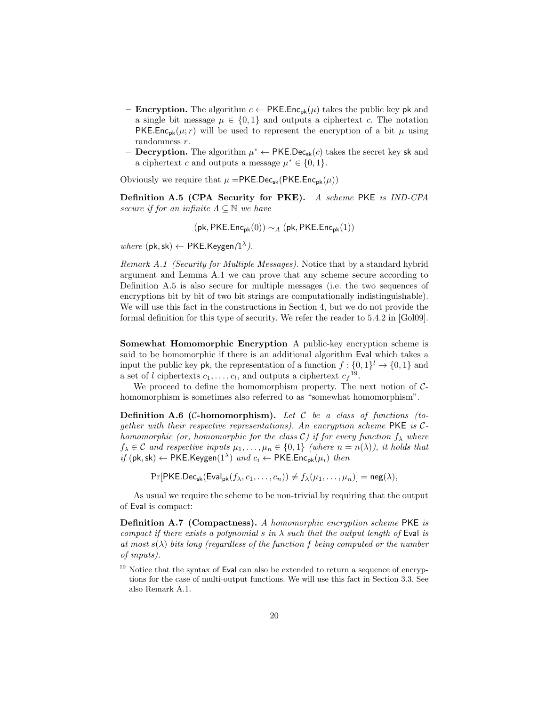- **Encryption.** The algorithm  $c \leftarrow PKEEnc_{pk}(\mu)$  takes the public key pk and a single bit message  $\mu \in \{0,1\}$  and outputs a ciphertext c. The notation **PKE.Enc**<sub>pk</sub>( $\mu$ ; r) will be used to represent the encryption of a bit  $\mu$  using randomness  $r$ .
- Decryption. The algorithm  $\mu^* \leftarrow \text{PKE.Dec}_{sk}(c)$  takes the secret key sk and a ciphertext c and outputs a message  $\mu^* \in \{0, 1\}.$

Obviously we require that  $\mu = PKE.Dec_{sk}(PKE Enc_{pk}(\mu))$ 

Definition A.5 (CPA Security for PKE). A scheme PKE is IND-CPA secure if for an infinite  $\Lambda \subseteq \mathbb{N}$  we have

 $(\mathsf{pk}, \mathsf{PKE}.\mathsf{Enc}_{\mathsf{pk}}(0)) \sim_A (\mathsf{pk}, \mathsf{PKE}.\mathsf{Enc}_{\mathsf{pk}}(1))$ 

where  $(\mathsf{pk}, \mathsf{sk}) \leftarrow \mathsf{PKE}$ . Keygen $(1^{\lambda})$ .

Remark A.1 (Security for Multiple Messages). Notice that by a standard hybrid argument and Lemma A.1 we can prove that any scheme secure according to Definition A.5 is also secure for multiple messages (i.e. the two sequences of encryptions bit by bit of two bit strings are computationally indistinguishable). We will use this fact in the constructions in Section 4, but we do not provide the formal definition for this type of security. We refer the reader to 5.4.2 in [Gol09].

Somewhat Homomorphic Encryption A public-key encryption scheme is said to be homomorphic if there is an additional algorithm Eval which takes a input the public key pk, the representation of a function  $f: \{0,1\}^l \to \{0,1\}$  and a set of l ciphertexts  $c_1, \ldots, c_l$ , and outputs a ciphertext  $c_f^{19}$ .

We proceed to define the homomorphism property. The next notion of  $C$ homomorphism is sometimes also referred to as "somewhat homomorphism".

**Definition A.6 (C-homomorphism).** Let  $C$  be a class of functions (together with their respective representations). An encryption scheme  $PKE$  is  $C$ homomorphic (or, homomorphic for the class C) if for every function  $f_{\lambda}$  where  $f_{\lambda} \in \mathcal{C}$  and respective inputs  $\mu_1, \ldots, \mu_n \in \{0, 1\}$  (where  $n = n(\lambda)$ ), it holds that *if* (pk, sk) ← PKE.Keygen(1<sup> $\lambda$ </sup>) and  $c_i$  ← PKE.Enc<sub>pk</sub>( $\mu_i$ ) then

 $Pr[PKE.Dec_{sk}(Eval_{pk}(f_{\lambda}, c_1, \ldots, c_n)) \neq f_{\lambda}(\mu_1, \ldots, \mu_n)] = neg(\lambda),$ 

As usual we require the scheme to be non-trivial by requiring that the output of Eval is compact:

Definition A.7 (Compactness). A homomorphic encryption scheme PKE is compact if there exists a polynomial s in  $\lambda$  such that the output length of Eval is at most  $s(\lambda)$  bits long (regardless of the function f being computed or the number of inputs).

 $\frac{19}{19}$  Notice that the syntax of Eval can also be extended to return a sequence of encryptions for the case of multi-output functions. We will use this fact in Section 3.3. See also Remark A.1.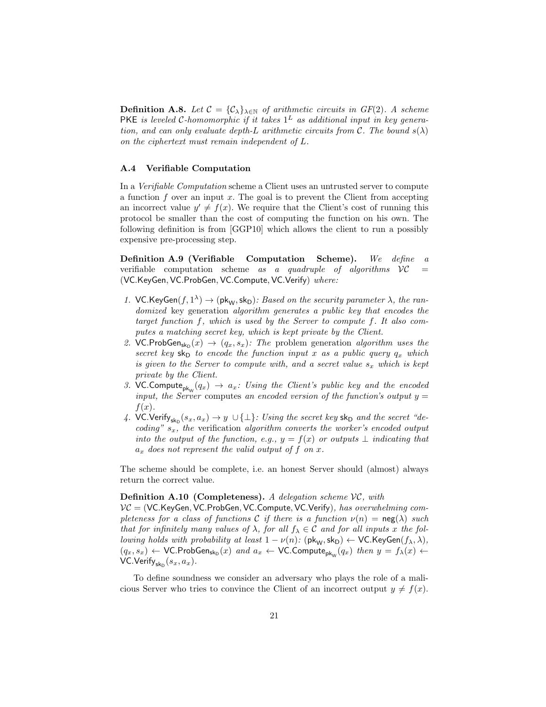**Definition A.8.** Let  $C = \{C_{\lambda}\}_{{\lambda \in \mathbb{N}}}$  of arithmetic circuits in  $GF(2)$ . A scheme PKE is leveled C-homomorphic if it takes  $1^L$  as additional input in key generation, and can only evaluate depth-L arithmetic circuits from C. The bound  $s(\lambda)$ on the ciphertext must remain independent of L.

#### A.4 Verifiable Computation

In a Verifiable Computation scheme a Client uses an untrusted server to compute a function  $f$  over an input  $x$ . The goal is to prevent the Client from accepting an incorrect value  $y' \neq f(x)$ . We require that the Client's cost of running this protocol be smaller than the cost of computing the function on his own. The following definition is from [GGP10] which allows the client to run a possibly expensive pre-processing step.

Definition A.9 (Verifiable Computation Scheme). We define a verifiable computation scheme as a quadruple of algorithms  $VC =$ (VC.KeyGen, VC.ProbGen, VC.Compute, VC.Verify) where:

- 1. VC.KeyGen $(f, 1^{\lambda}) \rightarrow (pk_W, sk_D)$ : Based on the security parameter  $\lambda$ , the randomized key generation algorithm generates a public key that encodes the target function f, which is used by the Server to compute f. It also computes a matching secret key, which is kept private by the Client.
- 2. VC.ProbGen<sub>sk<sub>D</sub></sub> $(x) \rightarrow (q_x, s_x)$ : The problem generation algorithm uses the secret key  $sk_D$  to encode the function input x as a public query  $q_x$  which is given to the Server to compute with, and a secret value  $s_x$  which is kept private by the Client.
- 3. VC.Compute<sub>pkw</sub> $(q_x) \rightarrow a_x$ : Using the Client's public key and the encoded input, the Server computes an encoded version of the function's output  $y =$  $f(x)$ .
- 4. VC.Verify<sub>sk<sub>D</sub></sub> $(s_x, a_x) \rightarrow y \cup \{\perp\}$ : Using the secret key sk<sub>D</sub> and the secret "decoding"  $s_x$ , the verification algorithm converts the worker's encoded output into the output of the function, e.g.,  $y = f(x)$  or outputs  $\perp$  indicating that  $a_x$  does not represent the valid output of f on x.

The scheme should be complete, i.e. an honest Server should (almost) always return the correct value.

### **Definition A.10 (Completeness).** A delegation scheme  $VC$ , with

 $VC = (VC.KeyGen, VC.ProbGen, VC.Compute, VC.Verify)$ , has overwhelming completeness for a class of functions C if there is a function  $\nu(n) = \text{neg}(\lambda)$  such that for infinitely many values of  $\lambda$ , for all  $f_{\lambda} \in \mathcal{C}$  and for all inputs x the fol*lowing holds with probability at least*  $1 - \nu(n)$ :  $(\mathsf{pk}_W, \mathsf{sk}_D) \leftarrow \mathsf{VC}$ . KeyGen $(f_\lambda, \lambda)$ ,  $(q_x, s_x) \leftarrow \text{VC}.{\sf ProbGen}_{\sf sk_D}(x)$  and  $a_x \leftarrow \text{VC}.{\sf Compute}_{\sf pk_W}(q_x)$  then  $y = f_\lambda(x) \leftarrow$ VC.Verify $_{\mathsf{sk}_{\mathsf{D}}}(s_x, a_x)$ .

To define soundness we consider an adversary who plays the role of a malicious Server who tries to convince the Client of an incorrect output  $y \neq f(x)$ .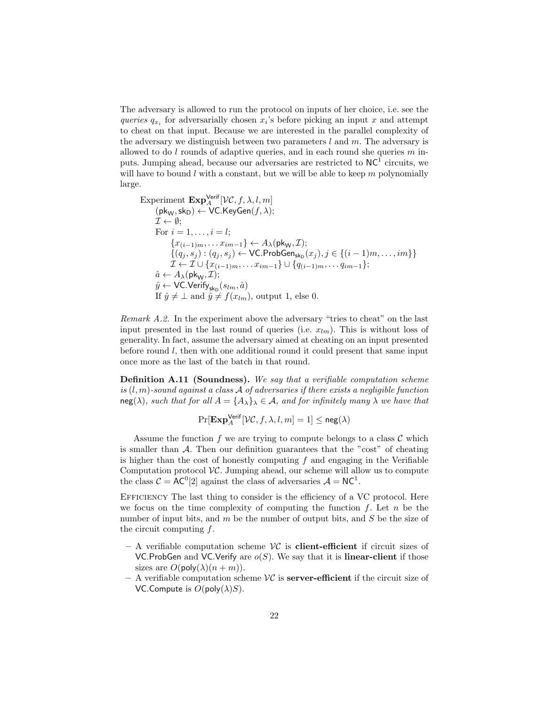The adversary is allowed to run the protocol on inputs of her choice, i.e. see the queries  $q_{x_i}$  for adversarially chosen  $x_i$ 's before picking an input x and attempt to cheat on that input. Because we are interested in the parallel complexity of the adversary we distinguish between two parameters  $l$  and  $m$ . The adversary is allowed to do  $l$  rounds of adaptive queries, and in each round she queries  $m$  inputs. Jumping ahead, because our adversaries are restricted to  $NC^T$  circuits, we will have to bound  $l$  with a constant, but we will be able to keep  $m$  polynomially large.

Experiment  $\mathbf{Exp}_{A}^{\mathsf{Verify}}[\mathcal{VC}, f, \lambda, l, m]$  $(\mathsf{pk}_\mathsf{W},\mathsf{sk}_\mathsf{D}) \leftarrow \mathsf{VC}.\mathsf{KeyGen}(f,\lambda);$  $\mathcal{I} \leftarrow \emptyset$ ; For  $i = 1, ..., i = l$ ;  ${x_{(i-1)m}, \ldots x_{im-1}} \leftarrow A_{\lambda}(\mathsf{pk}_{\mathsf{W}}, \mathcal{I});$  $\{(q_j, s_j) : (q_j, s_j) \leftarrow \mathsf{VC}.\mathsf{ProbGen}_{\mathsf{sk}_\mathsf{D}}(x_j), j \in \{(i-1)m, \ldots, im\}\}$  $\mathcal{I} \leftarrow \mathcal{I} \cup \{x_{(i-1)m}, \ldots x_{im-1}\} \cup \{q_{(i-1)m}, \ldots q_{im-1}\};$  $\hat{a} \leftarrow A_{\lambda}(\mathsf{pk}_{\mathsf{W}}, \mathcal{I});$  $\hat{y} \leftarrow \textsf{VC}.\textsf{Verify}_{\textsf{sk}_\textsf{D}}(s_{lm},\hat{a})$ If  $\hat{y} \neq \bot$  and  $\hat{y} \neq f(x_{lm})$ , output 1, else 0.

Remark A.2. In the experiment above the adversary "tries to cheat" on the last input presented in the last round of queries (i.e.  $x_{lm}$ ). This is without loss of generality. In fact, assume the adversary aimed at cheating on an input presented before round l, then with one additional round it could present that same input once more as the last of the batch in that round.

Definition A.11 (Soundness). We say that a verifiable computation scheme is  $(l, m)$ -sound against a class A of adversaries if there exists a negligible function  $neg(\lambda)$ , such that for all  $A = \{A_{\lambda}\}\lambda \in \mathcal{A}$ , and for infinitely many  $\lambda$  we have that

$$
\Pr[\mathbf{Exp}^{\mathsf{Verify}}_A[\mathcal{VC}, f, \lambda, l, m] = 1] \leq \mathsf{neg}(\lambda)
$$

Assume the function f we are trying to compute belongs to a class  $\mathcal C$  which is smaller than  $\mathcal A$ . Then our definition guarantees that the "cost" of cheating is higher than the cost of honestly computing  $f$  and engaging in the Verifiable Computation protocol  $VC$ . Jumping ahead, our scheme will allow us to compute the class  $C = AC^0[2]$  against the class of adversaries  $A = NC^1$ .

Efficiency The last thing to consider is the efficiency of a VC protocol. Here we focus on the time complexity of computing the function  $f$ . Let  $n$  be the number of input bits, and  $m$  be the number of output bits, and  $S$  be the size of the circuit computing  $f$ .

- $-$  A verifiable computation scheme  $\mathcal{VC}$  is **client-efficient** if circuit sizes of VC.ProbGen and VC.Verify are  $o(S)$ . We say that it is **linear-client** if those sizes are  $O(\text{poly}(\lambda)(n+m)).$
- A verifiable computation scheme  $\mathcal{VC}$  is **server-efficient** if the circuit size of VC.Compute is  $O(poly(\lambda)S)$ .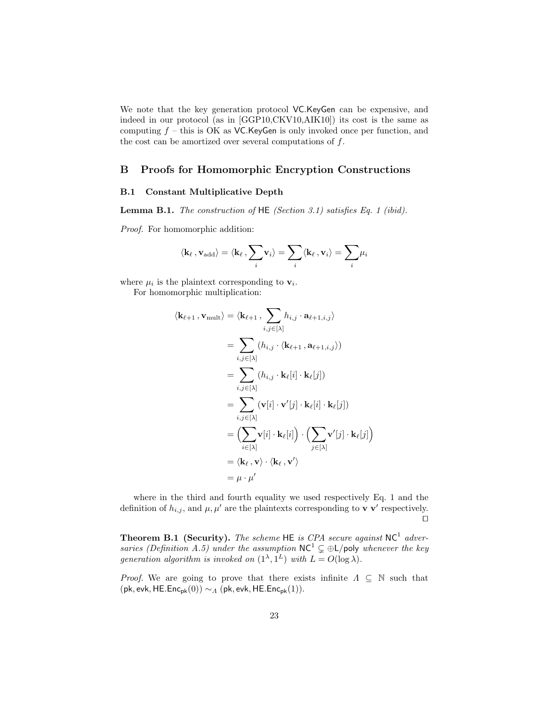We note that the key generation protocol VC.KeyGen can be expensive, and indeed in our protocol (as in [GGP10,CKV10,AIK10]) its cost is the same as computing  $f$  – this is OK as VC.KeyGen is only invoked once per function, and the cost can be amortized over several computations of  $f$ .

# B Proofs for Homomorphic Encryption Constructions

### B.1 Constant Multiplicative Depth

**Lemma B.1.** The construction of  $HE$  (Section 3.1) satisfies Eq. 1 (ibid).

Proof. For homomorphic addition:

$$
\langle \mathbf{k}_\ell \, , \mathbf{v}_\mathrm{add} \rangle = \langle \mathbf{k}_\ell \, , \sum_i \mathbf{v}_i \rangle = \sum_i \langle \mathbf{k}_\ell \, , \mathbf{v}_i \rangle = \sum_i \mu_i
$$

where  $\mu_i$  is the plaintext corresponding to  $\mathbf{v}_i$ .

For homomorphic multiplication:

$$
\langle \mathbf{k}_{\ell+1}, \mathbf{v}_{\text{mult}} \rangle = \langle \mathbf{k}_{\ell+1}, \sum_{i,j \in [\lambda]} h_{i,j} \cdot \mathbf{a}_{\ell+1,i,j} \rangle
$$
  
\n
$$
= \sum_{i,j \in [\lambda]} (h_{i,j} \cdot \langle \mathbf{k}_{\ell+1}, \mathbf{a}_{\ell+1,i,j} \rangle)
$$
  
\n
$$
= \sum_{i,j \in [\lambda]} (h_{i,j} \cdot \mathbf{k}_{\ell}[i] \cdot \mathbf{k}_{\ell}[j])
$$
  
\n
$$
= \sum_{i,j \in [\lambda]} (\mathbf{v}[i] \cdot \mathbf{v}'[j] \cdot \mathbf{k}_{\ell}[i] \cdot \mathbf{k}_{\ell}[j])
$$
  
\n
$$
= \left( \sum_{i \in [\lambda]} \mathbf{v}[i] \cdot \mathbf{k}_{\ell}[i] \right) \cdot \left( \sum_{j \in [\lambda]} \mathbf{v}'[j] \cdot \mathbf{k}_{\ell}[j] \right)
$$
  
\n
$$
= \langle \mathbf{k}_{\ell}, \mathbf{v} \rangle \cdot \langle \mathbf{k}_{\ell}, \mathbf{v}' \rangle
$$
  
\n
$$
= \mu \cdot \mu'
$$

where in the third and fourth equality we used respectively Eq. 1 and the definition of  $h_{i,j}$ , and  $\mu, \mu'$  are the plaintexts corresponding to **v v**' respectively.  $\Box$ 

**Theorem B.1 (Security).** The scheme HE is CPA secure against  $NC^1$  adversaries (Definition A.5) under the assumption  $NC^1 \subsetneq \bigoplus L$ /poly whenever the key generation algorithm is invoked on  $(1^{\lambda}, 1^{\lambda})$  with  $L = O(\log \lambda)$ .

*Proof.* We are going to prove that there exists infinite  $\Lambda \subseteq \mathbb{N}$  such that (pk, evk, HE.Enc<sub>pk</sub>(0))  $\sim_A$  (pk, evk, HE.Enc<sub>pk</sub>(1)).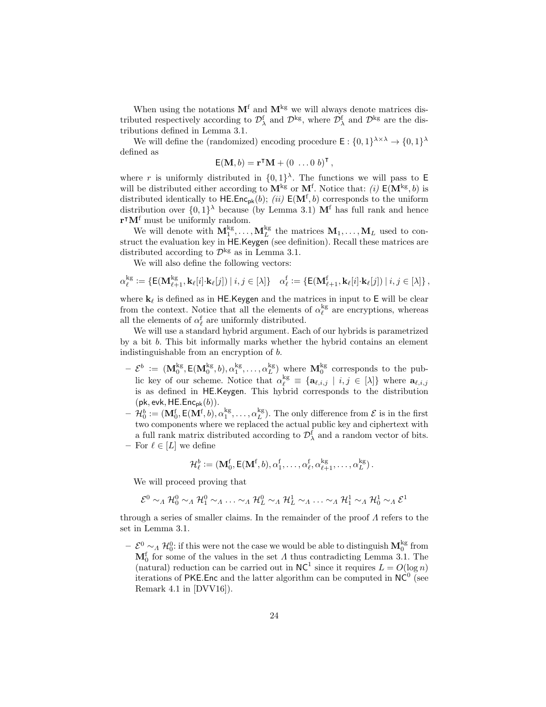When using the notations  $M<sup>f</sup>$  and  $M<sup>kg</sup>$  we will always denote matrices distributed respectively according to  $\mathcal{D}_{\lambda}^{\text{f}}$  and  $\mathcal{D}^{\text{kg}}$ , where  $\mathcal{D}_{\lambda}^{\text{f}}$  and  $\mathcal{D}^{\text{kg}}$  are the distributions defined in Lemma 3.1.

We will define the (randomized) encoding procedure  $\mathsf{E}: \{0,1\}^{\lambda \times \lambda} \to \{0,1\}^{\lambda}$ defined as

$$
\mathsf{E}(\mathbf{M},b) = \mathbf{r}^{\mathsf{T}}\mathbf{M} + (0 \ldots 0 b)^{\mathsf{T}},
$$

where r is uniformly distributed in  $\{0,1\}^{\lambda}$ . The functions we will pass to E will be distributed either according to  $\mathbf{M}^{\mathrm{kg}}$  or  $\mathbf{M}^{\mathrm{f}}$ . Notice that: *(i)*  $\mathsf{E}(\mathbf{M}^{\mathrm{kg}},b)$  is distributed identically to  $\mathsf{HE}.\mathsf{Enc}_{\mathsf{pk}}(b)$ ; (ii)  $\mathsf{E}(\mathbf{M}^{\mathsf{f}},b)$  corresponds to the uniform distribution over  $\{0,1\}^{\lambda}$  because (by Lemma 3.1) M<sup>f</sup> has full rank and hence  $\mathbf{r}^\intercal \mathbf{M}^{\text{f}}$  must be uniformly random.

We will denote with  $M_1^{kg}, \ldots, M_L^{kg}$  the matrices  $M_1, \ldots, M_L$  used to construct the evaluation key in HE.Keygen (see definition). Recall these matrices are distributed according to  $\mathcal{D}^{\rm kg}$  as in Lemma 3.1.

We will also define the following vectors:

$$
\alpha_{\ell}^{\mathrm{kg}} := \{ \mathsf{E}(\mathbf{M}_{\ell+1}^{\mathrm{kg}}, \mathbf{k}_{\ell}[i] \cdot \mathbf{k}_{\ell}[j]) \mid i, j \in [\lambda] \} \quad \alpha_{\ell}^{\mathrm{f}} := \{ \mathsf{E}(\mathbf{M}_{\ell+1}^{\mathrm{f}}, \mathbf{k}_{\ell}[i] \cdot \mathbf{k}_{\ell}[j]) \mid i, j \in [\lambda] \},
$$

where  $\mathbf{k}_{\ell}$  is defined as in HE.Keygen and the matrices in input to E will be clear from the context. Notice that all the elements of  $\alpha_{\ell}^{\rm kg}$  are encryptions, whereas all the elements of  $\alpha_{\ell}^{\rm f}$  are uniformly distributed.

We will use a standard hybrid argument. Each of our hybrids is parametrized by a bit b. This bit informally marks whether the hybrid contains an element indistinguishable from an encryption of b.

- $\mathcal{L} \in \mathcal{L}^{b} := (\mathbf{M}_{0}^{\text{kg}}, \mathbf{E}(\mathbf{M}_{0}^{\text{kg}}, b), \alpha_{1}^{\text{kg}}, \dots, \alpha_{L}^{\text{kg}})$  where  $\mathbf{M}_{0}^{\text{kg}}$  corresponds to the public key of our scheme. Notice that  $\alpha_{\ell}^{kg} \equiv {\mathbf{a}_{\ell,i,j} | i,j \in [\lambda]}$  where  $\mathbf{a}_{\ell,i,j}$ is as defined in HE.Keygen. This hybrid corresponds to the distribution  $(\mathsf{pk}, \mathsf{evk}, \mathsf{HE}.\mathsf{Enc}_{\mathsf{pk}}(b)).$
- $\mathcal{H}_0^b := (\mathbf{M}_0^f, \mathsf{E}(\mathbf{M}^f, b), \alpha_1^{\rm kg}, \dots, \alpha_L^{\rm kg})$ . The only difference from  $\mathcal{E}$  is in the first two components where we replaced the actual public key and ciphertext with a full rank matrix distributed according to  $\mathcal{D}^{\rm f}_\lambda$  and a random vector of bits. – For  $\ell \in [L]$  we define

$$
\mathcal{H}_{\ell}^b := (\mathbf{M}^f_0, \mathsf{E}(\mathbf{M}^f, b), \alpha^f_1, \dots, \alpha^f_{\ell}, \alpha^{\rm kg}_{\ell+1}, \dots, \alpha^{\rm kg}_L).
$$

We will proceed proving that

$$
\mathcal{E}^0 \sim_A \mathcal{H}_0^0 \sim_A \mathcal{H}_1^0 \sim_A \ldots \sim_A \mathcal{H}_L^0 \sim_A \mathcal{H}_L^1 \sim_A \ldots \sim_A \mathcal{H}_1^1 \sim_A \mathcal{H}_0^1 \sim_A \mathcal{E}^1
$$

through a series of smaller claims. In the remainder of the proof  $\Lambda$  refers to the set in Lemma 3.1.

 $-\mathcal{E}^0 \sim_A \mathcal{H}_0^0$ : if this were not the case we would be able to distinguish  $\mathbf{M}_0^{\text{kg}}$  from  $M_0^f$  for some of the values in the set  $\Lambda$  thus contradicting Lemma 3.1. The (natural) reduction can be carried out in  $NC^1$  since it requires  $L = O(\log n)$ iterations of PKE. Enc and the latter algorithm can be computed in  $NC<sup>0</sup>$  (see Remark 4.1 in [DVV16]).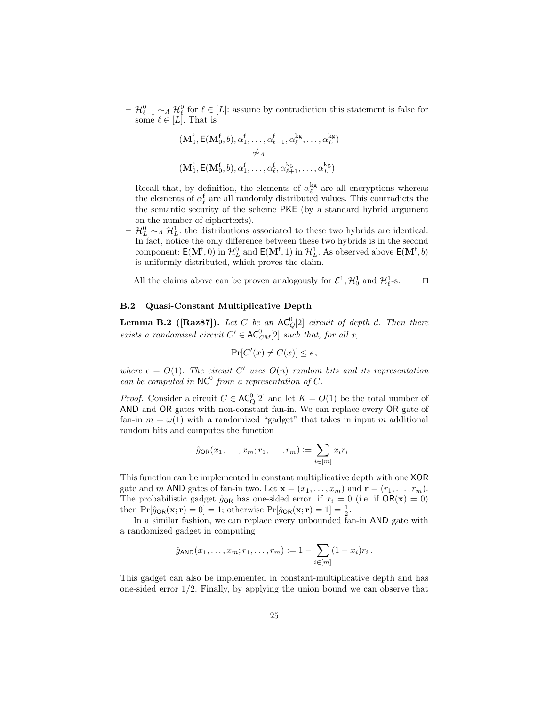$- \mathcal{H}_{\ell-1}^0 \sim_\Lambda \mathcal{H}_{\ell}^0$  for  $\ell \in [L]$ : assume by contradiction this statement is false for some  $\ell \in [L]$ . That is

$$
(\mathbf{M}_0^f, \mathsf{E}(\mathbf{M}_0^f, b), \alpha_1^f, \dots, \alpha_{\ell-1}^f, \alpha_{\ell}^{kg}, \dots, \alpha_L^{kg})
$$
  

$$
\not\sim_A
$$
  

$$
(\mathbf{M}_0^f, \mathsf{E}(\mathbf{M}_0^f, b), \alpha_1^f, \dots, \alpha_{\ell}^f, \alpha_{\ell+1}^{kg}, \dots, \alpha_L^{kg})
$$

Recall that, by definition, the elements of  $\alpha_{\ell}^{\rm kg}$  are all encryptions whereas the elements of  $\alpha_{\ell}^{\rm f}$  are all randomly distributed values. This contradicts the the semantic security of the scheme PKE (by a standard hybrid argument on the number of ciphertexts).

 $\mathcal{H}_{L}^{0}$  ∼<sub>Λ</sub>  $\mathcal{H}_{L}^{1}$ : the distributions associated to these two hybrids are identical. In fact, notice the only difference between these two hybrids is in the second component:  $\mathsf{E}(\mathbf{M}^f, 0)$  in  $\mathcal{H}_L^0$  and  $\mathsf{E}(\mathbf{M}^f, 1)$  in  $\mathcal{H}_L^1$ . As observed above  $\mathsf{E}(\mathbf{M}^f, b)$ is uniformly distributed, which proves the claim.

All the claims above can be proven analogously for  $\mathcal{E}^1$ ,  $\mathcal{H}_0^1$  and  $\mathcal{H}_\ell^1$ -s.  $\Box$ 

#### B.2 Quasi-Constant Multiplicative Depth

**Lemma B.2** ([Raz87]). Let C be an  $AC^0_Q[2]$  circuit of depth d. Then there exists a randomized circuit  $C' \in AC_{CM}^0[2]$  such that, for all x,

$$
\Pr[C'(x) \neq C(x)] \leq \epsilon \,,
$$

where  $\epsilon = O(1)$ . The circuit C' uses  $O(n)$  random bits and its representation can be computed in  $NC^0$  from a representation of C.

*Proof.* Consider a circuit  $C \in AC^0_Q[2]$  and let  $K = O(1)$  be the total number of AND and OR gates with non-constant fan-in. We can replace every OR gate of fan-in  $m = \omega(1)$  with a randomized "gadget" that takes in input m additional random bits and computes the function

$$
\hat{g}_{\mathsf{OR}}(x_1,\ldots,x_m;r_1,\ldots,r_m):=\sum_{i\in[m]}x_ir_i.
$$

This function can be implemented in constant multiplicative depth with one XOR gate and m AND gates of fan-in two. Let  $\mathbf{x} = (x_1, \ldots, x_m)$  and  $\mathbf{r} = (r_1, \ldots, r_m)$ . The probabilistic gadget  $\hat{g}_{OR}$  has one-sided error. if  $x_i = 0$  (i.e. if  $OR(\mathbf{x}) = 0$ ) then  $Pr[\hat{g}_{OR}(\mathbf{x}; \mathbf{r}) = 0] = 1$ ; otherwise  $Pr[\hat{g}_{OR}(\mathbf{x}; \mathbf{r}) = 1] = \frac{1}{2}$ .

In a similar fashion, we can replace every unbounded fan-in AND gate with a randomized gadget in computing

$$
\hat{g}_{\text{AND}}(x_1,\ldots,x_m;r_1,\ldots,r_m) := 1 - \sum_{i \in [m]} (1-x_i)r_i \, .
$$

This gadget can also be implemented in constant-multiplicative depth and has one-sided error  $1/2$ . Finally, by applying the union bound we can observe that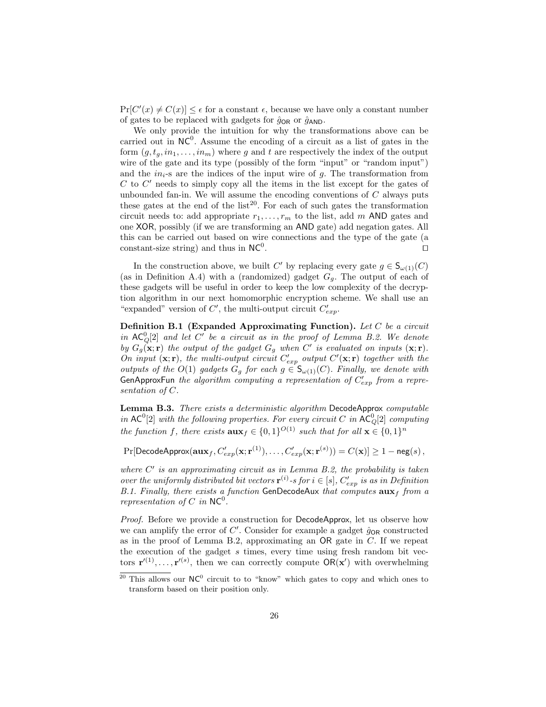$Pr[C'(x) \neq C(x)] \leq \epsilon$  for a constant  $\epsilon$ , because we have only a constant number of gates to be replaced with gadgets for  $\hat{g}_{OR}$  or  $\hat{g}_{AND}$ .

We only provide the intuition for why the transformations above can be carried out in  $NC^0$ . Assume the encoding of a circuit as a list of gates in the form  $(g, t_q, in_1, \ldots, in_m)$  where g and t are respectively the index of the output wire of the gate and its type (possibly of the form "input" or "random input") and the  $in_{i-s}$  are the indices of the input wire of q. The transformation from  $C$  to  $C'$  needs to simply copy all the items in the list except for the gates of unbounded fan-in. We will assume the encoding conventions of  $C$  always puts these gates at the end of the  $list^{20}$ . For each of such gates the transformation circuit needs to: add appropriate  $r_1, \ldots, r_m$  to the list, add m AND gates and one XOR, possibly (if we are transforming an AND gate) add negation gates. All this can be carried out based on wire connections and the type of the gate (a constant-size string) and thus in  $NC^0$ . . The contract of the contract of the contract of the contract of the contract of the contract of the contract of the contract of the contract of the contract of the contract of the contract of the contract of the contract

In the construction above, we built C' by replacing every gate  $g \in \mathsf{S}_{\omega(1)}(C)$ (as in Definition A.4) with a (randomized) gadget  $G_q$ . The output of each of these gadgets will be useful in order to keep the low complexity of the decryption algorithm in our next homomorphic encryption scheme. We shall use an "expanded" version of  $C'$ , the multi-output circuit  $C'_{exp}$ .

Definition B.1 (Expanded Approximating Function). Let  $C$  be a circuit in  $AC_Q^0[2]$  and let  $C'$  be a circuit as in the proof of Lemma B.2. We denote by  $G_g(\mathbf{x}; \mathbf{r})$  the output of the gadget  $G_g$  when C' is evaluated on inputs  $(\mathbf{x}; \mathbf{r})$ . On input  $(\mathbf{x}; \mathbf{r})$ , the multi-output circuit  $C'_{exp}$  output  $C'(\mathbf{x}; \mathbf{r})$  together with the outputs of the  $O(1)$  gadgets  $G_g$  for each  $g \in S_{\omega(1)}(C)$ . Finally, we denote with GenApproxFun the algorithm computing a representation of  $C'_{exp}$  from a representation of C.

Lemma B.3. There exists a deterministic algorithm DecodeApprox computable in  $AC^0[2]$  with the following properties. For every circuit C in  $AC_Q^0[2]$  computing the function f, there exists  $\mathbf{aux}_f \in \{0,1\}^{O(1)}$  such that for all  $\mathbf{x} \in \{0,1\}^n$ 

 $\Pr[\mathsf{DecodeApprox}(\mathbf{aux}_f, C'_{exp}(\mathbf{x};\mathbf{r}^{(1)}), \dots, C'_{exp}(\mathbf{x};\mathbf{r}^{(s)})) = C(\mathbf{x})] \ge 1 - \mathsf{neg}(s)\,,$ 

where  $C'$  is an approximating circuit as in Lemma B.2, the probability is taken over the uniformly distributed bit vectors  $\mathbf{r}^{(i)}$ -s for  $i \in [s]$ ,  $C'_{exp}$  is as in Definition B.1. Finally, there exists a function GenDecodeAux that computes  $\mathbf{aux}_f$  from a representation of C in  $NC^0$ .

Proof. Before we provide a construction for DecodeApprox, let us observe how we can amplify the error of  $C'$ . Consider for example a gadget  $\hat{g}_{OR}$  constructed as in the proof of Lemma B.2, approximating an OR gate in C. If we repeat the execution of the gadget s times, every time using fresh random bit vectors  $\mathbf{r}'^{(1)}, \ldots, \mathbf{r}'^{(s)}$ , then we can correctly compute  $\mathsf{OR}(\mathbf{x}')$  with overwhelming

<sup>&</sup>lt;sup>20</sup> This allows our  $NC^0$  circuit to to "know" which gates to copy and which ones to transform based on their position only.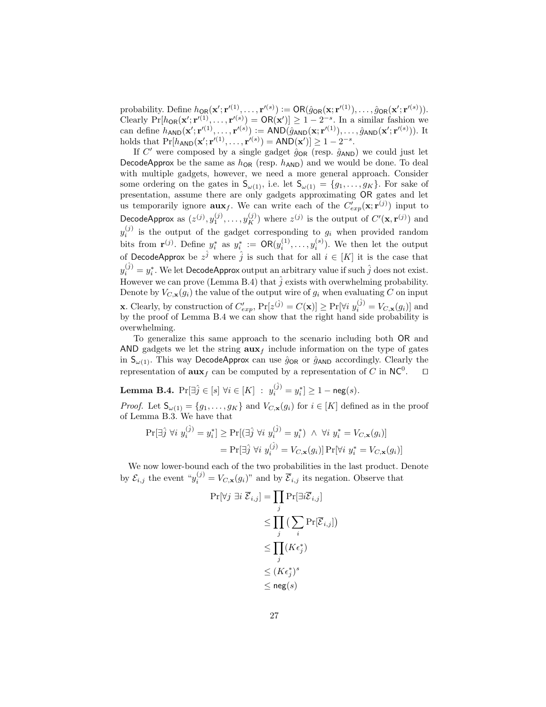probability. Define  $h_{\text{OR}}(\mathbf{x}'; \mathbf{r}'^{(1)}, \ldots, \mathbf{r}'^{(s)}) := \text{OR}(\hat{g}_{\text{OR}}(\mathbf{x}; \mathbf{r}'^{(1)}), \ldots, \hat{g}_{\text{OR}}(\mathbf{x}'; \mathbf{r}'^{(s)})).$ Clearly  $Pr[h_{OR}(x'; r'^{(1)}, \ldots, r'^{(s)})] \geq 0$   $R(x') \geq 1 - 2^{-s}$ . In a similar fashion we can define  $h_{\sf AND}(\mathbf{x}'; \mathbf{r}'^{(1)}, \ldots, \mathbf{r}'^{(s)}) := {\sf AND}(\hat{g}_{\sf AND}(\mathbf{x}; \mathbf{r}'^{(1)}), \ldots, \hat{g}_{\sf AND}(\mathbf{x}'; \mathbf{r}'^{(s)})).$  It holds that  $Pr[h_{AND}(\mathbf{x}'; \mathbf{r}'^{(1)}, \dots, \mathbf{r}'^{(s)})] = AND(\mathbf{x}')] \ge 1 - 2^{-s}$ .

If C' were composed by a single gadget  $\hat{g}_{OR}$  (resp.  $\hat{g}_{AND}$ ) we could just let DecodeApprox be the same as  $h_{OR}$  (resp.  $h_{AND}$ ) and we would be done. To deal with multiple gadgets, however, we need a more general approach. Consider some ordering on the gates in  $S_{\omega(1)}$ , i.e. let  $S_{\omega(1)} = \{g_1, \ldots, g_K\}$ . For sake of presentation, assume there are only gadgets approximating OR gates and let us temporarily ignore  $\mathbf{aux}_f$ . We can write each of the  $C'_{exp}(\mathbf{x}; \mathbf{r}^{(j)})$  input to DecodeApprox as  $(z^{(j)}, y_1^{(j)}, \ldots, y_K^{(j)})$  where  $z^{(j)}$  is the output of  $C'(\mathbf{x}, \mathbf{r}^{(j)})$  and  $y_i^{(j)}$  is the output of the gadget corresponding to  $g_i$  when provided random bits from  $\mathbf{r}^{(j)}$ . Define  $y_i^*$  as  $y_i^* := \mathsf{OR}(y_i^{(1)}, \ldots, y_i^{(s)})$ . We then let the output of DecodeApprox be  $z^{\hat{j}}$  where  $\hat{j}$  is such that for all  $i \in [K]$  it is the case that  $y_i^{(\hat{j})} = y_i^*.$  We let <code>DecodeApprox</code> output an arbitrary value if such  $\hat{j}$  does not exist. However we can prove (Lemma B.4) that  $\hat{j}$  exists with overwhelming probability. Denote by  $V_{C,\mathbf{x}}(g_i)$  the value of the output wire of  $g_i$  when evaluating C on input **x**. Clearly, by construction of  $C'_{exp}$ ,  $Pr[z^{(\hat{j})} = C(\mathbf{x})] \geq Pr[\forall i \ y_i^{(\hat{j})} = V_{C,\mathbf{x}}(g_i)]$  and by the proof of Lemma B.4 we can show that the right hand side probability is overwhelming.

To generalize this same approach to the scenario including both OR and AND gadgets we let the string  $\mathbf{aux}_f$  include information on the type of gates in  $S_{\omega(1)}$ . This way DecodeApprox can use  $\hat{g}_{OR}$  or  $\hat{g}_{AND}$  accordingly. Clearly the representation of  $\mathbf{aux}_f$  can be computed by a representation of C in NC<sup>0</sup>.  $\Box$ 

Lemma B.4.  $\Pr[\exists \hat{j} \in [s] \; \forall i \in [K] \; : \; y_i^{(\hat{j})} = y_i^*] \geq 1 - \mathsf{neg}(s).$ 

*Proof.* Let  $\mathsf{S}_{\omega(1)} = \{g_1, \ldots, g_K\}$  and  $V_{C,\mathbf{x}}(g_i)$  for  $i \in [K]$  defined as in the proof of Lemma B.3. We have that

$$
\Pr[\exists \hat{j} \ \forall i \ y_i^{(\hat{j})} = y_i^*] \ge \Pr[(\exists \hat{j} \ \forall i \ y_i^{(\hat{j})} = y_i^*) \ \land \ \forall i \ y_i^* = V_{C, \mathbf{x}}(g_i)]
$$

$$
= \Pr[\exists \hat{j} \ \forall i \ y_i^{(\hat{j})} = V_{C, \mathbf{x}}(g_i)] \Pr[\forall i \ y_i^* = V_{C, \mathbf{x}}(g_i)]
$$

We now lower-bound each of the two probabilities in the last product. Denote by  $\mathcal{E}_{i,j}$  the event " $y_i^{(j)} = V_{C,\mathbf{x}}(g_i)$ " and by  $\overline{\mathcal{E}}_{i,j}$  its negation. Observe that

$$
\Pr[\forall j \exists i \ \overline{\mathcal{E}}_{i,j}] = \prod_j \Pr[\exists i \overline{\mathcal{E}}_{i,j}]
$$
  
\n
$$
\leq \prod_j \left( \sum_i \Pr[\overline{\mathcal{E}}_{i,j}] \right)
$$
  
\n
$$
\leq \prod_j (K \epsilon_j^*)
$$
  
\n
$$
\leq (K \epsilon_j^*)^s
$$
  
\n
$$
\leq \operatorname{neg}(s)
$$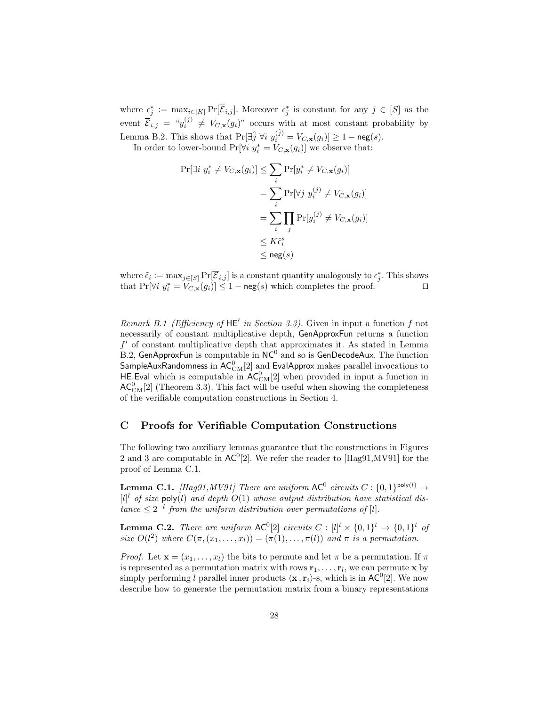where  $\epsilon_j^* := \max_{i \in [K]} Pr[\overline{\mathcal{E}}_{i,j}]$ . Moreover  $\epsilon_j^*$  is constant for any  $j \in [S]$  as the event  $\overline{\mathcal{E}}_{i,j} = \sqrt[u_j^{(j)}] \neq V_{C,\mathbf{x}}(g_i)$ " occurs with at most constant probability by Lemma B.2. This shows that  $\Pr[\exists \hat{j} \; \forall i \; y_i^{(\hat{j})} = V_{C,\mathbf{x}}(g_i)] \ge 1 - \mathsf{neg}(s)$ .

In order to lower-bound  $Pr[\forall i \; y_i^* = V_{C, \mathbf{x}}(g_i)]$  we observe that:

$$
\Pr[\exists i \ y_i^* \neq V_{C,\mathbf{x}}(g_i)] \leq \sum_i \Pr[y_i^* \neq V_{C,\mathbf{x}}(g_i)]
$$
  
= 
$$
\sum_i \Pr[\forall j \ y_i^{(j)} \neq V_{C,\mathbf{x}}(g_i)]
$$
  
= 
$$
\sum_i \prod_j \Pr[y_i^{(j)} \neq V_{C,\mathbf{x}}(g_i)]
$$
  

$$
\leq K\tilde{\epsilon}_i^s
$$
  

$$
\leq \text{neg}(s)
$$

where  $\tilde{\epsilon}_i := \max_{j \in [S]} Pr[\overline{\mathcal{E}}_{i,j}]$  is a constant quantity analogously to  $\epsilon_j^*$ . This shows that  $Pr[\forall i \; y_i^* = V_{C,\mathbf{x}}(g_i)] \leq 1 - \mathsf{neg}(s)$  which completes the proof.

Remark B.1 (Efficiency of  $HE'$  in Section 3.3). Given in input a function f not necessarily of constant multiplicative depth, GenApproxFun returns a function  $f'$  of constant multiplicative depth that approximates it. As stated in Lemma B.2, GenApproxFun is computable in  $NC^0$  and so is GenDecodeAux. The function SampleAuxRandomness in  $\mathsf{AC}^0_\mathrm{CM}[2]$  and EvalApprox makes parallel invocations to HE Eval which is computable in  $AC_{CM}^0[2]$  when provided in input a function in  $AC_{CM}^{0}[2]$  (Theorem 3.3). This fact will be useful when showing the completeness of the verifiable computation constructions in Section 4.

# C Proofs for Verifiable Computation Constructions

The following two auxiliary lemmas guarantee that the constructions in Figures 2 and 3 are computable in  $AC^0[2]$ . We refer the reader to [Hag91,MV91] for the proof of Lemma C.1.

**Lemma C.1.** [Hag91,MV91] There are uniform  $AC^0$  circuits  $C: \{0,1\}^{\text{poly}(l)} \to$  $[l]$ <sup>l</sup> of size poly(l) and depth  $O(1)$  whose output distribution have statistical dis $tance \leq 2^{-l}$  from the uniform distribution over permutations of [l].

**Lemma C.2.** There are uniform  $AC^0[2]$  circuits  $C : [l]^l \times \{0,1\}^l \rightarrow \{0,1\}^l$  of size  $O(l^2)$  where  $C(\pi, (x_1, \ldots, x_l)) = (\pi(1), \ldots, \pi(l))$  and  $\pi$  is a permutation.

*Proof.* Let  $\mathbf{x} = (x_1, \ldots, x_l)$  the bits to permute and let  $\pi$  be a permutation. If  $\pi$ is represented as a permutation matrix with rows  $\mathbf{r}_1, \ldots, \mathbf{r}_l$ , we can permute  $\mathbf{x}$  by simply performing l parallel inner products  $\langle \mathbf{x}, \mathbf{r}_i \rangle$ -s, which is in  $AC^0[2]$ . We now describe how to generate the permutation matrix from a binary representations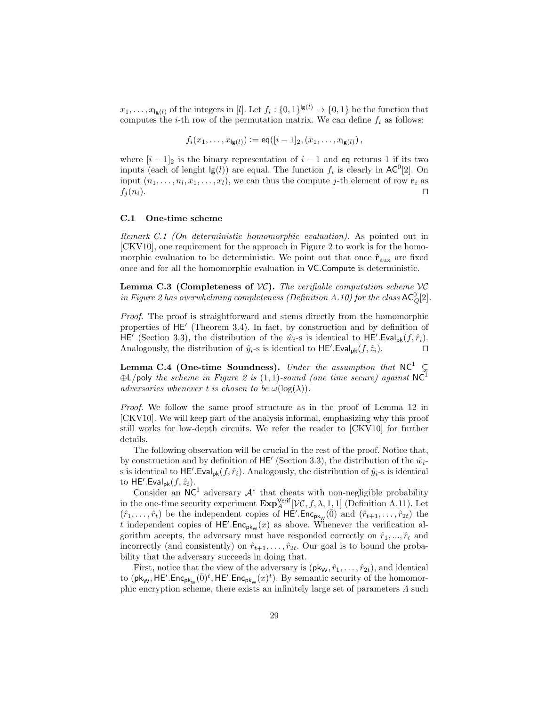$x_1, \ldots, x_{\lg(l)}$  of the integers in [*l*]. Let  $f_i: \{0,1\}^{\lg(l)} \to \{0,1\}$  be the function that computes the *i*-th row of the permutation matrix. We can define  $f_i$  as follows:

$$
f_i(x_1,\ldots,x_{\lg(l)}) := \text{eq}([i-1]_2,(x_1,\ldots,x_{\lg(l)}),
$$

where  $[i - 1]_2$  is the binary representation of  $i - 1$  and eq returns 1 if its two inputs (each of lenght  $\lg(l)$ ) are equal. The function  $f_i$  is clearly in AC<sup>0</sup>[2]. On input  $(n_1, \ldots, n_l, x_1, \ldots, x_l)$ , we can thus the compute j-th element of row  $\mathbf{r}_i$  as  $f_j(n_i)$ .

#### C.1 One-time scheme

Remark C.1 (On deterministic homomorphic evaluation). As pointed out in [CKV10], one requirement for the approach in Figure 2 to work is for the homomorphic evaluation to be deterministic. We point out that once  $\hat{\mathbf{r}}_{\text{aux}}$  are fixed once and for all the homomorphic evaluation in VC.Compute is deterministic.

**Lemma C.3 (Completeness of**  $VC$ **).** The verifiable computation scheme  $VC$ in Figure 2 has overwhelming completeness (Definition A.10) for the class  $AC_Q^0[2]$ .

Proof. The proof is straightforward and stems directly from the homomorphic properties of HE' (Theorem 3.4). In fact, by construction and by definition of HE' (Section 3.3), the distribution of the  $\hat{w}_i$ -s is identical to HE'.Eval<sub>pk</sub> $(f, \hat{r}_i)$ . Analogously, the distribution of  $\hat{y}_i$ -s is identical to  $\mathsf{HE}'$ . Eval<sub>pk</sub> $(f, \hat{z}_i)$ .

Lemma C.4 (One-time Soundness). Under the assumption that  $NC^1 \subseteq$  $\bigoplus$ L/poly the scheme in Figure 2 is (1,1)-sound (one time secure) against NC<sup>1</sup> adversaries whenever t is chosen to be  $\omega(\log(\lambda))$ .

Proof. We follow the same proof structure as in the proof of Lemma 12 in [CKV10]. We will keep part of the analysis informal, emphasizing why this proof still works for low-depth circuits. We refer the reader to [CKV10] for further details.

The following observation will be crucial in the rest of the proof. Notice that, by construction and by definition of  $\mathsf{HE}'$  (Section 3.3), the distribution of the  $\hat{w}_i$ s is identical to  $\mathsf{HE}'$ . Eval<sub>pk</sub> $(f, \hat{r}_i)$ . Analogously, the distribution of  $\hat{y}_i$ -s is identical to  $\mathsf{HE}'$ . Eval<sub>pk</sub> $(f, \hat{z}_i)$ .

Consider an  $NC<sup>1</sup>$  adversary  $A^*$  that cheats with non-negligible probability in the one-time security experiment  $\mathbf{Exp}_{A}^{\mathsf{Verify}}[\mathcal{VC}, f, \lambda, 1, 1]$  (Definition A.11). Let  $(\hat{r}_1,\ldots,\hat{r}_t)$  be the independent copies of  $\overline{\mathsf{HE}}'.\overline{\mathsf{Enc}_{\mathsf{pk}_\mathsf{W}}(\overline{0})}$  and  $(\hat{r}_{t+1},\ldots,\hat{r}_{2t})$  the t independent copies of  $HE'.Enc_{pk_{W}}(x)$  as above. Whenever the verification algorithm accepts, the adversary must have responded correctly on  $\hat{r}_1, ..., \hat{r}_t$  and incorrectly (and consistently) on  $\hat{r}_{t+1}, \ldots, \hat{r}_{2t}$ . Our goal is to bound the probability that the adversary succeeds in doing that.

First, notice that the view of the adversary is  $(\mathsf{pk}_w, \hat{r}_1, \ldots, \hat{r}_{2t})$ , and identical to  $(\mathsf{pk}_\mathsf{W},\mathsf{HE}'.\mathsf{Enc}_{\mathsf{pk}_\mathsf{W}}(\overline{0})^t,\mathsf{HE}'.\mathsf{Enc}_{\mathsf{pk}_\mathsf{W}}(x)^t)$ . By semantic security of the homomorphic encryption scheme, there exists an infinitely large set of parameters  $\Lambda$  such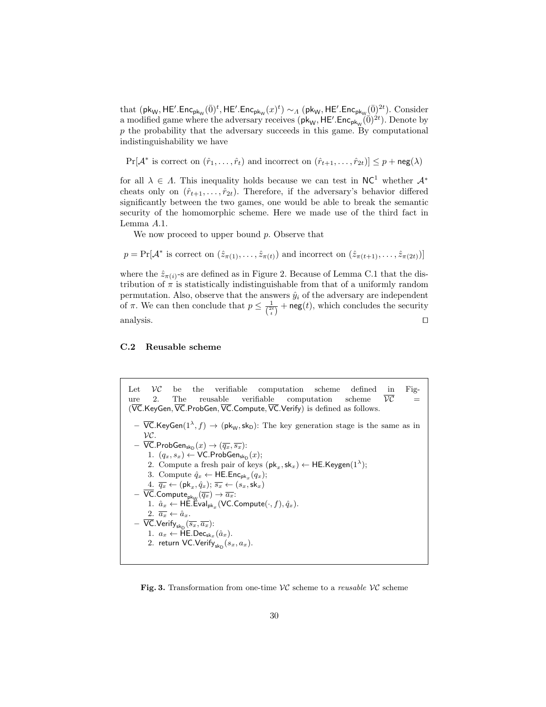that  $(\mathsf{pk}_\mathsf{W},\mathsf{HE}'.\mathsf{Enc}_{\mathsf{pk}_\mathsf{W}}(\bar{0})^t,\mathsf{HE}'.\mathsf{Enc}_{\mathsf{pk}_\mathsf{W}}(x)^t)\sim_A (\mathsf{pk}_\mathsf{W},\mathsf{HE}'.\mathsf{Enc}_{\mathsf{pk}_\mathsf{W}}(\bar{0})^{2t}).$  Consider a modified game where the adversary receives  $(\mathsf{pk}_W, \mathsf{HE}$ . Enc<sub>pk<sub>W</sub> $(\vec{0})^{2t}$ ). Denote by</sub>  $p$  the probability that the adversary succeeds in this game. By computational indistinguishability we have

 $Pr[\mathcal{A}^* \text{ is correct on } (\hat{r}_1, \dots, \hat{r}_t) \text{ and incorrect on } (\hat{r}_{t+1}, \dots, \hat{r}_{2t})] \leq p + \mathsf{neg}(\lambda)$ 

for all  $\lambda \in \Lambda$ . This inequality holds because we can test in NC<sup>1</sup> whether  $\mathcal{A}^*$ cheats only on  $(\hat{r}_{t+1}, \ldots, \hat{r}_{2t})$ . Therefore, if the adversary's behavior differed significantly between the two games, one would be able to break the semantic security of the homomorphic scheme. Here we made use of the third fact in Lemma A.1.

We now proceed to upper bound  $p$ . Observe that

 $p = \Pr[\mathcal{A}^* \text{ is correct on } (\hat{z}_{\pi(1)}, \dots, \hat{z}_{\pi(t)}) \text{ and incorrect on } (\hat{z}_{\pi(t+1)}, \dots, \hat{z}_{\pi(2t)})]$ 

where the  $\hat{z}_{\pi(i)}$ -s are defined as in Figure 2. Because of Lemma C.1 that the distribution of  $\pi$  is statistically indistinguishable from that of a uniformly random permutation. Also, observe that the answers  $\hat{y}_i$  of the adversary are independent of  $\pi$ . We can then conclude that  $p \leq \frac{1}{\binom{2t}{t}} + \text{neg}(t)$ , which concludes the security analysis.  $\Box$ 

### C.2 Reusable scheme

Let  $\mathcal{VC}$  be the verifiable computation scheme defined in Figure 2. The reusable verifiable computation scheme  $\overline{\mathcal{VC}}$  =  $(\overline{VC}.$ KeyGen,  $\overline{VC}.$  ProbGen,  $\overline{VC}.$  Compute,  $\overline{VC}.$  Verify) is defined as follows.  $\nabla$ C.KeyGen(1<sup> $\lambda$ </sup>, f)  $\rightarrow$  (pk<sub>W</sub>, sk<sub>D</sub>): The key generation stage is the same as in VC.  $-\;\overline{\mathsf{VC}}.\mathsf{ProbGen}_{\mathsf{sk_D}}(x) \rightarrow (\overline{q_x}, \overline{s_x})$ : 1.  $(q_x, s_x) \leftarrow \textsf{VC}.{\sf ProbGen}_{\sf sk_D}(x);$ 2. Compute a fresh pair of keys  $(\mathsf{pk}_x, \mathsf{sk}_x) \leftarrow \mathsf{HE}.\mathsf{Keygen}(1^{\lambda});$ 3. Compute  $\hat{q}_x \leftarrow \mathsf{HE}.\mathsf{Enc}_{\mathsf{pk}_x}(q_x);$  $\frac{4}{q_x} \leftarrow (\mathsf{pk}_x, \hat{q}_x); \, \overline{s_x} \leftarrow (s_x, \mathsf{sk}_x)$  $-$  VC.Compute $_{\rm pk_{W}}(\overline{q_x}) \rightarrow \overline{a_x}$ : 1.  $\hat{a}_x \leftarrow \textsf{HE}.\textsf{Eval}_{\textsf{pk}_x}(\textsf{VC}. \textsf{Compute}(\cdot,f),\hat{q}_x).$ 2.  $\overline{a_x} \leftarrow \hat{a}_x$ .  $-$  VC.Verify $_{\rm sk_D}(\overline{s_x},\overline{a_x})$ : 1.  $a_x \leftarrow \mathsf{HE}.\mathsf{Dec}_{\mathsf{sk}_x}(\hat{a}_x).$ 2. return VC.Verify $_{\mathsf{sk}_{\mathsf{D}}}(s_x, a_x)$ .

Fig. 3. Transformation from one-time  $VC$  scheme to a *reusable*  $VC$  scheme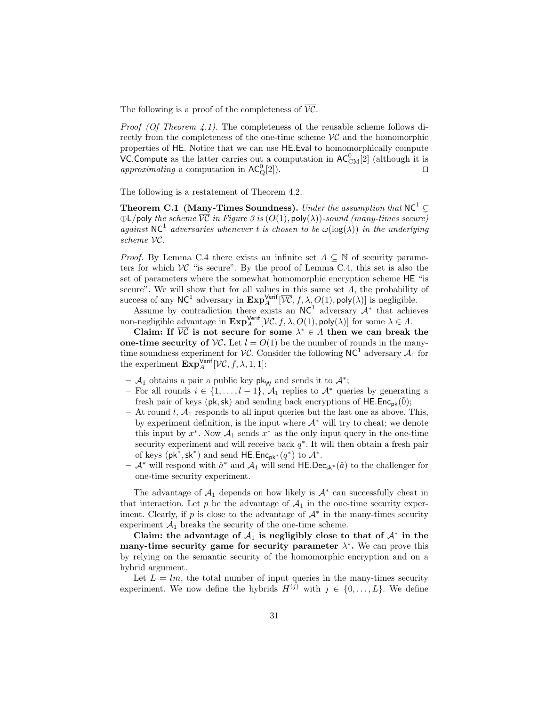The following is a proof of the completeness of  $\overline{VC}$ .

*Proof (Of Theorem 4.1).* The completeness of the reusable scheme follows directly from the completeness of the one-time scheme  $\mathcal{VC}$  and the homomorphic properties of HE. Notice that we can use HE.Eval to homomorphically compute VC. Compute as the latter carries out a computation in  $AC_{CM}^{0}[2]$  (although it is approximating a computation in  $AC_{Q}^{0}[2]$ .

The following is a restatement of Theorem 4.2.

Theorem C.1 (Many-Times Soundness). Under the assumption that  $NC^1 \subset$  $\bigoplus$ L/poly the scheme  $\overline{VC}$  in Figure 3 is  $(O(1), poly(\lambda))$ -sound (many-times secure) against NC<sup>1</sup> adversaries whenever t is chosen to be  $\omega(\log(\lambda))$  in the underlying scheme VC.

*Proof.* By Lemma C.4 there exists an infinite set  $\Lambda \subseteq \mathbb{N}$  of security parameters for which  $\mathcal{VC}$  "is secure". By the proof of Lemma C.4, this set is also the set of parameters where the somewhat homomorphic encryption scheme HE "is secure". We will show that for all values in this same set  $\Lambda$ , the probability of success of any NC<sup>1</sup> adversary in  $\mathbf{Exp}_{A}^{\mathsf{Verify}}[\overline{\mathcal{VC}}, f, \lambda, O(1), \mathsf{poly}(\lambda)]$  is negligible.

Assume by contradiction there exists an  $NC<sup>1</sup>$  adversary  $A^*$  that achieves non-negligible advantage in  $\mathbf{Exp}_{A}^{\mathsf{Verify}}[\overline{\mathcal{VC}}, f, \lambda, O(1), \mathsf{poly}(\lambda)]$  for some  $\lambda \in \Lambda$ .

Claim: If  $\overline{VC}$  is not secure for some  $\lambda^* \in \Lambda$  then we can break the one-time security of  $VC$ . Let  $l = O(1)$  be the number of rounds in the manytime soundness experiment for  $\overline{VC}$ . Consider the following NC<sup>1</sup> adversary  $\mathcal{A}_1$  for the experiment  $\mathbf{Exp}_{A}^{\mathsf{Verify}}[\mathcal{VC}, f, \lambda, 1, 1]$ :

- $-$  A<sub>1</sub> obtains a pair a public key pk<sub>W</sub> and sends it to  $\mathcal{A}^*$ ;
- For all rounds  $i \in \{1, \ldots, l-1\}$ ,  $\mathcal{A}_1$  replies to  $\mathcal{A}^*$  queries by generating a fresh pair of keys ( $pk, sk$ ) and sending back encryptions of HE.Enc<sub>pk</sub>( $\overline{0}$ );
- At round  $l, \mathcal{A}_1$  responds to all input queries but the last one as above. This, by experiment definition, is the input where  $A^*$  will try to cheat; we denote this input by  $x^*$ . Now  $\mathcal{A}_1$  sends  $x^*$  as the only input query in the one-time security experiment and will receive back  $q^*$ . It will then obtain a fresh pair of keys  $(\mathsf{pk}^*, \mathsf{sk}^*)$  and send HE.Enc<sub>pk<sup>\*</sup></sub> $(q^*)$  to  $\mathcal{A}^*$ .
- $\mathcal{A}^*$  will respond with  $\hat{a}^*$  and  $\mathcal{A}_1$  will send HE.Dec<sub>sk<sup>∗</sub>( $\hat{a}$ ) to the challenger for</sub></sup> one-time security experiment.

The advantage of  $A_1$  depends on how likely is  $A^*$  can successfully cheat in that interaction. Let p be the advantage of  $A_1$  in the one-time security experiment. Clearly, if p is close to the advantage of  $A^*$  in the many-times security experiment  $A_1$  breaks the security of the one-time scheme.

Claim: the advantage of  $A_1$  is negligibly close to that of  $A^*$  in the many-time security game for security parameter  $\lambda^*$ . We can prove this by relying on the semantic security of the homomorphic encryption and on a hybrid argument.

Let  $L = lm$ , the total number of input queries in the many-times security experiment. We now define the hybrids  $H^{(j)}$  with  $j \in \{0, \ldots, L\}$ . We define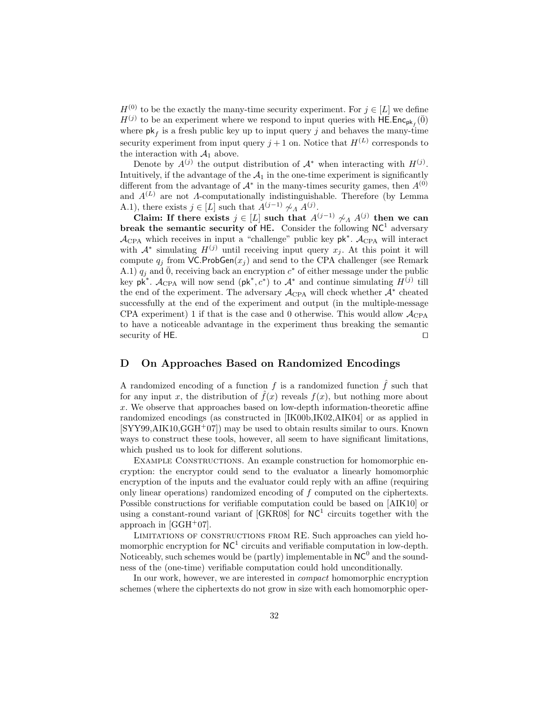$H^{(0)}$  to be the exactly the many-time security experiment. For  $j \in [L]$  we define  $H^{(j)}$  to be an experiment where we respond to input queries with  $\overline{\mathsf{HE}}.\mathsf{Enc}_{\mathsf{pk}_f}(\overline{0})$ where  $\mathsf{pk}_f$  is a fresh public key up to input query j and behaves the many-time security experiment from input query  $j+1$  on. Notice that  $H^{(L)}$  corresponds to the interaction with  $A_1$  above.

Denote by  $A^{(j)}$  the output distribution of  $A^*$  when interacting with  $H^{(j)}$ . Intuitively, if the advantage of the  $A_1$  in the one-time experiment is significantly different from the advantage of  $A^*$  in the many-times security games, then  $A^{(0)}$ and  $A^{(L)}$  are not A-computationally indistinguishable. Therefore (by Lemma A.1), there exists  $j \in [L]$  such that  $A^{(j-1)} \not\sim_A A^{(j)}$ .

Claim: If there exists  $j \in [L]$  such that  $A^{(j-1)} \not\sim_A A^{(j)}$  then we can break the semantic security of HE. Consider the following  $NC<sup>1</sup>$  adversary  $\mathcal{A}_{\text{CPA}}$  which receives in input a "challenge" public key  $pk^*$ .  $\mathcal{A}_{\text{CPA}}$  will interact with  $\mathcal{A}^*$  simulating  $H^{(j)}$  until receiving input query  $x_j$ . At this point it will compute  $q_i$  from VC.ProbGen $(x_i)$  and send to the CPA challenger (see Remark A.1)  $q_j$  and  $\bar{0}$ , receiving back an encryption  $c^*$  of either message under the public key  $p\vec{k}^*$ .  $\mathcal{A}_{CPA}$  will now send  $(p\vec{k}^*, c^*)$  to  $\mathcal{A}^*$  and continue simulating  $H^{(j)}$  till the end of the experiment. The adversary  $\mathcal{A}_{\text{CPA}}$  will check whether  $\mathcal{A}^*$  cheated successfully at the end of the experiment and output (in the multiple-message CPA experiment) 1 if that is the case and 0 otherwise. This would allow  $\mathcal{A}_{CPA}$ to have a noticeable advantage in the experiment thus breaking the semantic security of HE.  $\Box$ 

# D On Approaches Based on Randomized Encodings

A randomized encoding of a function f is a randomized function  $\hat{f}$  such that for any input x, the distribution of  $\hat{f}(x)$  reveals  $f(x)$ , but nothing more about x. We observe that approaches based on low-depth information-theoretic affine randomized encodings (as constructed in [IK00b,IK02,AIK04] or as applied in  $[SYY99, AIK10, GGH<sup>+</sup>07]$  may be used to obtain results similar to ours. Known ways to construct these tools, however, all seem to have significant limitations, which pushed us to look for different solutions.

EXAMPLE CONSTRUCTIONS. An example construction for homomorphic encryption: the encryptor could send to the evaluator a linearly homomorphic encryption of the inputs and the evaluator could reply with an affine (requiring only linear operations) randomized encoding of f computed on the ciphertexts. Possible constructions for verifiable computation could be based on [AIK10] or using a constant-round variant of  $[GKR08]$  for  $NC<sup>1</sup>$  circuits together with the approach in  $[GGH<sup>+</sup>07]$ .

Limitations of constructions from RE. Such approaches can yield homomorphic encryption for  $NC^1$  circuits and verifiable computation in low-depth. Noticeably, such schemes would be (partly) implementable in  $NC^0$  and the soundness of the (one-time) verifiable computation could hold unconditionally.

In our work, however, we are interested in compact homomorphic encryption schemes (where the ciphertexts do not grow in size with each homomorphic oper